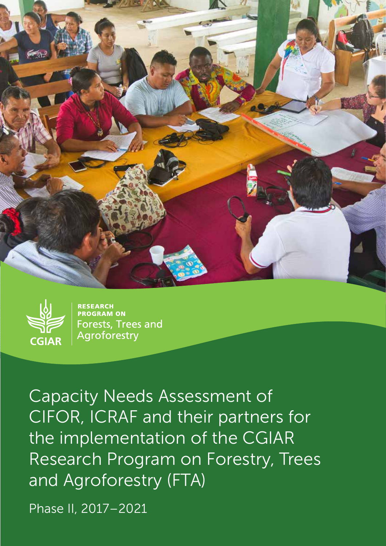



**RESEARCH PROGRAM ON Forests, Trees and** Agroforestry

Capacity Needs Assessment of CIFOR, ICRAF and their partners for the implementation of the CGIAR Research Program on Forestry, Trees and Agroforestry (FTA)

Phase II, 2017–2021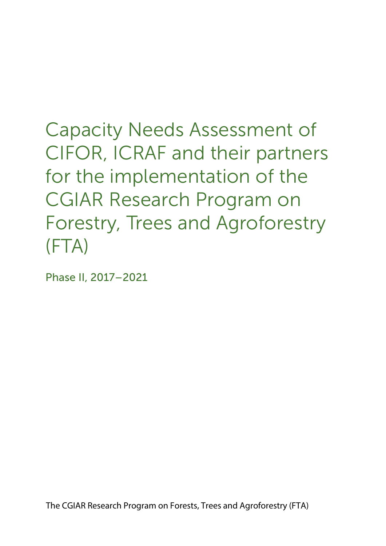Capacity Needs Assessment of CIFOR, ICRAF and their partners for the implementation of the CGIAR Research Program on Forestry, Trees and Agroforestry (FTA)

Phase II, 2017–2021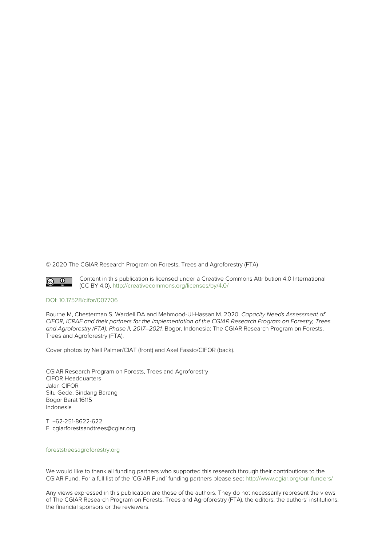© 2020 The CGIAR Research Program on Forests, Trees and Agroforestry (FTA)



Content in this publication is licensed under a Creative Commons Attribution 4.0 International (CC BY 4.0), <http://creativecommons.org/licenses/by/4.0/>

#### [DOI: 10.17528/cifor/007706](https://doi.org/10.17528/cifor/007706)

Bourne M, Chesterman S, Wardell DA and Mehmood-Ul-Hassan M. 2020. Capacity Needs Assessment of CIFOR, ICRAF and their partners for the implementation of the CGIAR Research Program on Forestry, Trees and Agroforestry (FTA): Phase II, 2017–2021. Bogor, Indonesia: The CGIAR Research Program on Forests, Trees and Agroforestry (FTA).

Cover photos by Neil Palmer/CIAT (front) and Axel Fassio/CIFOR (back).

CGIAR Research Program on Forests, Trees and Agroforestry CIFOR Headquarters Jalan CIFOR Situ Gede, Sindang Barang Bogor Barat 16115 Indonesia

T +62-251-8622-622 E cgiarforestsandtrees@cgiar.org

#### [foreststreesagroforestry.org](http://foreststreesagroforestry.org)

We would like to thank all funding partners who supported this research through their contributions to the CGIAR Fund. For a full list of the 'CGIAR Fund' funding partners please see: <http://www.cgiar.org/our-funders/>

Any views expressed in this publication are those of the authors. They do not necessarily represent the views of The CGIAR Research Program on Forests, Trees and Agroforestry (FTA), the editors, the authors' institutions, the financial sponsors or the reviewers.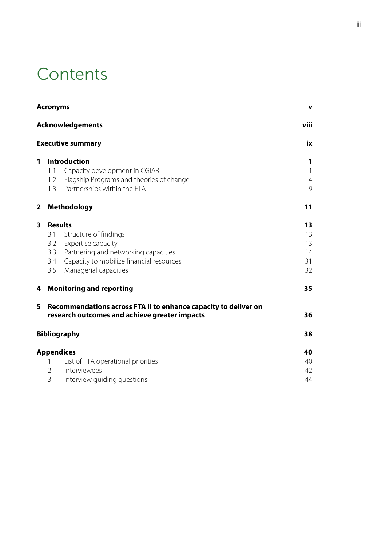# **Contents**

|   | <b>Acronyms</b><br>$\mathbf v$  |                                                                                                                                                                            |                                          |  |  |  |
|---|---------------------------------|----------------------------------------------------------------------------------------------------------------------------------------------------------------------------|------------------------------------------|--|--|--|
|   |                                 | <b>Acknowledgements</b>                                                                                                                                                    | viii                                     |  |  |  |
|   |                                 | <b>Executive summary</b>                                                                                                                                                   | iх                                       |  |  |  |
| 1 | 1.1<br>1.2<br>1.3               | <b>Introduction</b><br>Capacity development in CGIAR<br>Flagship Programs and theories of change<br>Partnerships within the FTA                                            | 1<br>$\mathbf{1}$<br>$\overline{4}$<br>9 |  |  |  |
| 2 |                                 | <b>Methodology</b>                                                                                                                                                         | 11                                       |  |  |  |
| 3 | 3.1<br>3.2<br>3.3<br>3.4<br>3.5 | <b>Results</b><br>Structure of findings<br>Expertise capacity<br>Partnering and networking capacities<br>Capacity to mobilize financial resources<br>Managerial capacities | 13<br>13<br>13<br>14<br>31<br>32         |  |  |  |
| 4 |                                 | <b>Monitoring and reporting</b>                                                                                                                                            | 35                                       |  |  |  |
| 5 |                                 | Recommendations across FTA II to enhance capacity to deliver on<br>research outcomes and achieve greater impacts                                                           | 36                                       |  |  |  |
|   |                                 | <b>Bibliography</b>                                                                                                                                                        | 38                                       |  |  |  |
|   | 1<br>$\overline{2}$<br>3        | <b>Appendices</b><br>List of FTA operational priorities<br>Interviewees<br>Interview guiding questions                                                                     | 40<br>40<br>42<br>44                     |  |  |  |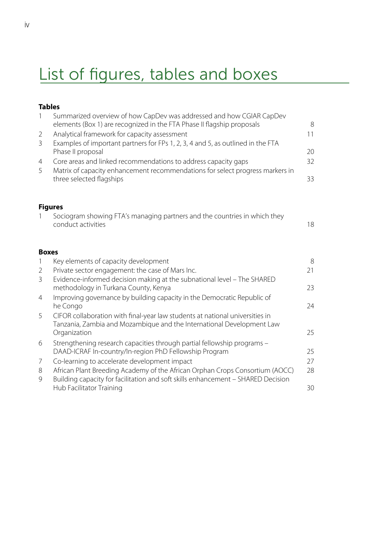# List of figures, tables and boxes

## **Tables**

| $\mathbf{1}$   | Summarized overview of how CapDev was addressed and how CGIAR CapDev<br>elements (Box 1) are recognized in the FTA Phase II flagship proposals                   | 8  |
|----------------|------------------------------------------------------------------------------------------------------------------------------------------------------------------|----|
| $\overline{2}$ | Analytical framework for capacity assessment                                                                                                                     | 11 |
| $\mathfrak{Z}$ | Examples of important partners for FPs 1, 2, 3, 4 and 5, as outlined in the FTA                                                                                  |    |
|                | Phase II proposal                                                                                                                                                | 20 |
| $\overline{4}$ | Core areas and linked recommendations to address capacity gaps                                                                                                   | 32 |
| 5              | Matrix of capacity enhancement recommendations for select progress markers in<br>three selected flagships                                                        | 33 |
| <b>Figures</b> |                                                                                                                                                                  |    |
|                | Sociogram showing FTA's managing partners and the countries in which they<br>conduct activities                                                                  | 18 |
| <b>Boxes</b>   |                                                                                                                                                                  |    |
| $\mathbf{1}$   | Key elements of capacity development                                                                                                                             | 8  |
| $\overline{2}$ | Private sector engagement: the case of Mars Inc.                                                                                                                 | 21 |
| 3              | Evidence-informed decision making at the subnational level - The SHARED<br>methodology in Turkana County, Kenya                                                  | 23 |
| 4              | Improving governance by building capacity in the Democratic Republic of                                                                                          |    |
|                | he Congo                                                                                                                                                         | 24 |
| 5              | CIFOR collaboration with final-year law students at national universities in                                                                                     |    |
|                | Tanzania, Zambia and Mozambique and the International Development Law<br>Organization                                                                            | 25 |
| 6              | Strengthening research capacities through partial fellowship programs -                                                                                          |    |
|                | DAAD-ICRAF In-country/In-region PhD Fellowship Program                                                                                                           | 25 |
| 7              | Co-learning to accelerate development impact                                                                                                                     | 27 |
| 8<br>9         | African Plant Breeding Academy of the African Orphan Crops Consortium (AOCC)<br>Building capacity for facilitation and soft skills enhancement - SHARED Decision | 28 |
|                | Hub Facilitator Training                                                                                                                                         | 30 |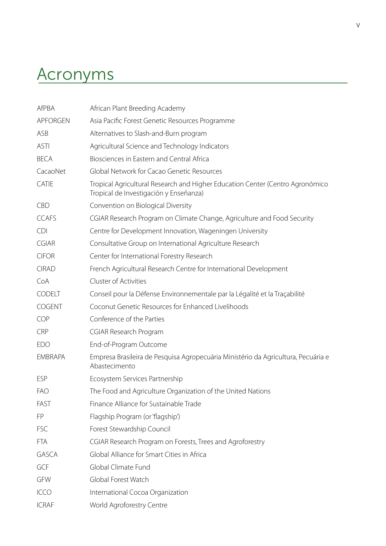# <span id="page-6-0"></span>Acronyms

| <b>AfPBA</b>    | African Plant Breeding Academy                                                                                          |
|-----------------|-------------------------------------------------------------------------------------------------------------------------|
| <b>APFORGEN</b> | Asia Pacific Forest Genetic Resources Programme                                                                         |
| ASB             | Alternatives to Slash-and-Burn program                                                                                  |
| <b>ASTI</b>     | Agricultural Science and Technology Indicators                                                                          |
| <b>BECA</b>     | Biosciences in Eastern and Central Africa                                                                               |
| CacaoNet        | Global Network for Cacao Genetic Resources                                                                              |
| CATIE           | Tropical Agricultural Research and Higher Education Center (Centro Agronómico<br>Tropical de Investigación y Enseñanza) |
| <b>CBD</b>      | Convention on Biological Diversity                                                                                      |
| <b>CCAFS</b>    | CGIAR Research Program on Climate Change, Agriculture and Food Security                                                 |
| <b>CDI</b>      | Centre for Development Innovation, Wageningen University                                                                |
| <b>CGIAR</b>    | Consultative Group on International Agriculture Research                                                                |
| <b>CIFOR</b>    | Center for International Forestry Research                                                                              |
| <b>CIRAD</b>    | French Agricultural Research Centre for International Development                                                       |
| CoA             | Cluster of Activities                                                                                                   |
| CODELT          | Conseil pour la Défense Environnementale par la Légalité et la Traçabilité                                              |
| <b>COGENT</b>   | Coconut Genetic Resources for Enhanced Livelihoods                                                                      |
| COP             | Conference of the Parties                                                                                               |
| <b>CRP</b>      | <b>CGIAR Research Program</b>                                                                                           |
| <b>EDO</b>      | End-of-Program Outcome                                                                                                  |
| <b>EMBRAPA</b>  | Empresa Brasileira de Pesquisa Agropecuária Ministério da Agricultura, Pecuária e<br>Abastecimento                      |
| <b>ESP</b>      | Ecosystem Services Partnership                                                                                          |
| <b>FAO</b>      | The Food and Agriculture Organization of the United Nations                                                             |
| FAST            | Finance Alliance for Sustainable Trade                                                                                  |
| FP              | Flagship Program (or 'flagship')                                                                                        |
| <b>FSC</b>      | Forest Stewardship Council                                                                                              |
| <b>FTA</b>      | CGIAR Research Program on Forests, Trees and Agroforestry                                                               |
| <b>GASCA</b>    | Global Alliance for Smart Cities in Africa                                                                              |
| GCF             | Global Climate Fund                                                                                                     |
| GFW             | Global Forest Watch                                                                                                     |
| <b>ICCO</b>     | International Cocoa Organization                                                                                        |
| <b>ICRAF</b>    | World Agroforestry Centre                                                                                               |
|                 |                                                                                                                         |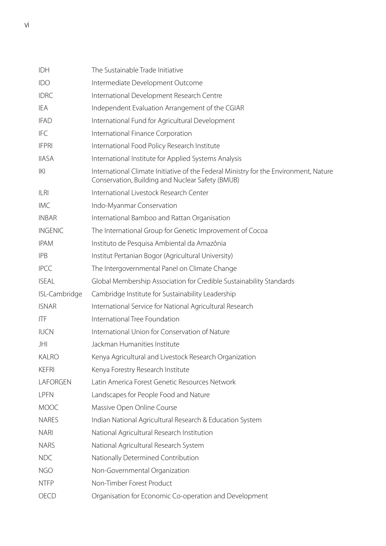| IDH            | The Sustainable Trade Initiative                                                                                                         |
|----------------|------------------------------------------------------------------------------------------------------------------------------------------|
| <b>IDO</b>     | Intermediate Development Outcome                                                                                                         |
| <b>IDRC</b>    | International Development Research Centre                                                                                                |
| IEA            | Independent Evaluation Arrangement of the CGIAR                                                                                          |
| <b>IFAD</b>    | International Fund for Agricultural Development                                                                                          |
| <b>IFC</b>     | International Finance Corporation                                                                                                        |
| <b>IFPRI</b>   | International Food Policy Research Institute                                                                                             |
| <b>IIASA</b>   | International Institute for Applied Systems Analysis                                                                                     |
| K              | International Climate Initiative of the Federal Ministry for the Environment, Nature<br>Conservation, Building and Nuclear Safety (BMUB) |
| <b>ILRI</b>    | International Livestock Research Center                                                                                                  |
| <b>IMC</b>     | Indo-Myanmar Conservation                                                                                                                |
| <b>INBAR</b>   | International Bamboo and Rattan Organisation                                                                                             |
| <b>INGENIC</b> | The International Group for Genetic Improvement of Cocoa                                                                                 |
| <b>IPAM</b>    | Instituto de Pesquisa Ambiental da Amazônia                                                                                              |
| <b>IPB</b>     | Institut Pertanian Bogor (Agricultural University)                                                                                       |
| <b>IPCC</b>    | The Intergovernmental Panel on Climate Change                                                                                            |
| <b>ISEAL</b>   | Global Membership Association for Credible Sustainability Standards                                                                      |
| ISL-Cambridge  | Cambridge Institute for Sustainability Leadership                                                                                        |
| <b>ISNAR</b>   | International Service for National Agricultural Research                                                                                 |
| <b>ITF</b>     | International Tree Foundation                                                                                                            |
| <b>IUCN</b>    | International Union for Conservation of Nature                                                                                           |
| JHI            | Jackman Humanities Institute                                                                                                             |
| <b>KALRO</b>   | Kenya Agricultural and Livestock Research Organization                                                                                   |
| <b>KEFRI</b>   | Kenya Forestry Research Institute                                                                                                        |
| LAFORGEN       | Latin America Forest Genetic Resources Network                                                                                           |
| <b>LPFN</b>    | Landscapes for People Food and Nature                                                                                                    |
| <b>MOOC</b>    | Massive Open Online Course                                                                                                               |
| <b>NARES</b>   | Indian National Agricultural Research & Education System                                                                                 |
| <b>NARI</b>    | National Agricultural Research Institution                                                                                               |
| <b>NARS</b>    | National Agricultural Research System                                                                                                    |
| <b>NDC</b>     | Nationally Determined Contribution                                                                                                       |
| <b>NGO</b>     | Non-Governmental Organization                                                                                                            |
| <b>NTFP</b>    | Non-Timber Forest Product                                                                                                                |
| OECD           | Organisation for Economic Co-operation and Development                                                                                   |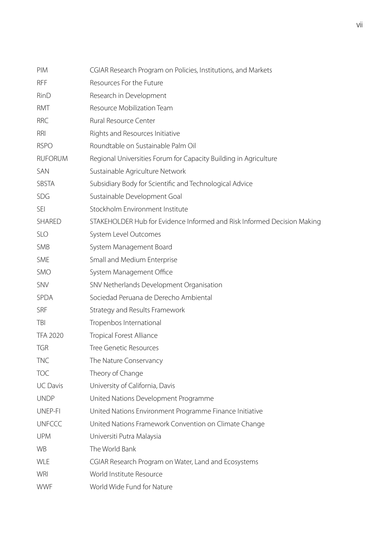| PIM             | CGIAR Research Program on Policies, Institutions, and Markets           |
|-----------------|-------------------------------------------------------------------------|
| <b>RFF</b>      | Resources For the Future                                                |
| RinD            | Research in Development                                                 |
| RMT             | Resource Mobilization Team                                              |
| <b>RRC</b>      | <b>Rural Resource Center</b>                                            |
| <b>RRI</b>      | Rights and Resources Initiative                                         |
| <b>RSPO</b>     | Roundtable on Sustainable Palm Oil                                      |
| <b>RUFORUM</b>  | Regional Universities Forum for Capacity Building in Agriculture        |
| SAN             | Sustainable Agriculture Network                                         |
| <b>SBSTA</b>    | Subsidiary Body for Scientific and Technological Advice                 |
| SDG             | Sustainable Development Goal                                            |
| <b>SEI</b>      | Stockholm Environment Institute                                         |
| <b>SHARED</b>   | STAKEHOLDER Hub for Evidence Informed and Risk Informed Decision Making |
| <b>SLO</b>      | System Level Outcomes                                                   |
| <b>SMB</b>      | System Management Board                                                 |
| <b>SME</b>      | Small and Medium Enterprise                                             |
| <b>SMO</b>      | System Management Office                                                |
| SNV             | SNV Netherlands Development Organisation                                |
| SPDA            | Sociedad Peruana de Derecho Ambiental                                   |
| <b>SRF</b>      | Strategy and Results Framework                                          |
| TBI             | Tropenbos International                                                 |
| <b>TFA 2020</b> | <b>Tropical Forest Alliance</b>                                         |
| <b>TGR</b>      | <b>Tree Genetic Resources</b>                                           |
| <b>TNC</b>      | The Nature Conservancy                                                  |
| <b>TOC</b>      | Theory of Change                                                        |
| <b>UC Davis</b> | University of California, Davis                                         |
| <b>UNDP</b>     | United Nations Development Programme                                    |
| UNEP-FI         | United Nations Environment Programme Finance Initiative                 |
| <b>UNFCCC</b>   | United Nations Framework Convention on Climate Change                   |
| <b>UPM</b>      | Universiti Putra Malaysia                                               |
| <b>WB</b>       | The World Bank                                                          |
| <b>WLE</b>      | CGIAR Research Program on Water, Land and Ecosystems                    |
| WRI             | World Institute Resource                                                |
| <b>WWF</b>      | World Wide Fund for Nature                                              |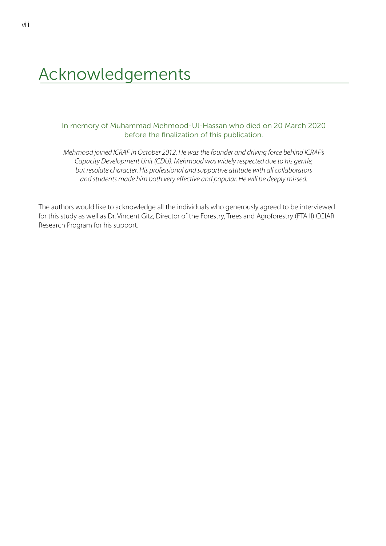# <span id="page-9-0"></span>Acknowledgements

### In memory of Muhammad Mehmood-Ul-Hassan who died on 20 March 2020 before the finalization of this publication.

*Mehmood joined ICRAF in October 2012. He was the founder and driving force behind ICRAF's Capacity Development Unit (CDU). Mehmood was widely respected due to his gentle, but resolute character. His professional and supportive attitude with all collaborators and students made him both very effective and popular. He will be deeply missed.*

The authors would like to acknowledge all the individuals who generously agreed to be interviewed for this study as well as Dr. Vincent Gitz, Director of the Forestry, Trees and Agroforestry (FTA II) CGIAR Research Program for his support.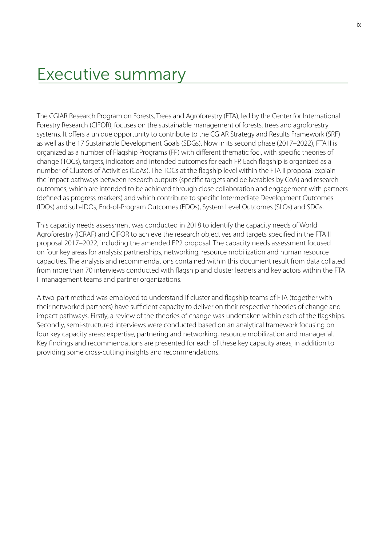## <span id="page-10-0"></span>Executive summary

The CGIAR Research Program on Forests, Trees and Agroforestry (FTA), led by the Center for International Forestry Research (CIFOR), focuses on the sustainable management of forests, trees and agroforestry systems. It offers a unique opportunity to contribute to the CGIAR Strategy and Results Framework (SRF) as well as the 17 Sustainable Development Goals (SDGs). Now in its second phase (2017–2022), FTA II is organized as a number of Flagship Programs (FP) with different thematic foci, with specific theories of change (TOCs), targets, indicators and intended outcomes for each FP. Each flagship is organized as a number of Clusters of Activities (CoAs). The TOCs at the flagship level within the FTA II proposal explain the impact pathways between research outputs (specific targets and deliverables by CoA) and research outcomes, which are intended to be achieved through close collaboration and engagement with partners (defined as progress markers) and which contribute to specific Intermediate Development Outcomes (IDOs) and sub-IDOs, End-of-Program Outcomes (EDOs), System Level Outcomes (SLOs) and SDGs.

This capacity needs assessment was conducted in 2018 to identify the capacity needs of World Agroforestry (ICRAF) and CIFOR to achieve the research objectives and targets specified in the FTA II proposal 2017–2022, including the amended FP2 proposal. The capacity needs assessment focused on four key areas for analysis: partnerships, networking, resource mobilization and human resource capacities. The analysis and recommendations contained within this document result from data collated from more than 70 interviews conducted with flagship and cluster leaders and key actors within the FTA II management teams and partner organizations.

A two-part method was employed to understand if cluster and flagship teams of FTA (together with their networked partners) have sufficient capacity to deliver on their respective theories of change and impact pathways. Firstly, a review of the theories of change was undertaken within each of the flagships. Secondly, semi-structured interviews were conducted based on an analytical framework focusing on four key capacity areas: expertise, partnering and networking, resource mobilization and managerial. Key findings and recommendations are presented for each of these key capacity areas, in addition to providing some cross-cutting insights and recommendations.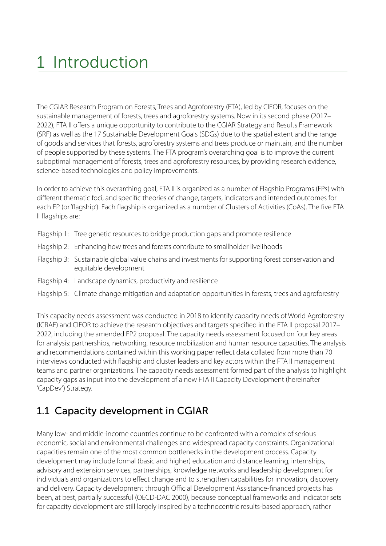# <span id="page-12-0"></span>1 Introduction

The CGIAR Research Program on Forests, Trees and Agroforestry (FTA), led by CIFOR, focuses on the sustainable management of forests, trees and agroforestry systems. Now in its second phase (2017– 2022), FTA II offers a unique opportunity to contribute to the CGIAR Strategy and Results Framework (SRF) as well as the 17 Sustainable Development Goals (SDGs) due to the spatial extent and the range of goods and services that forests, agroforestry systems and trees produce or maintain, and the number of people supported by these systems. The FTA program's overarching goal is to improve the current suboptimal management of forests, trees and agroforestry resources, by providing research evidence, science-based technologies and policy improvements.

In order to achieve this overarching goal, FTA II is organized as a number of Flagship Programs (FPs) with different thematic foci, and specific theories of change, targets, indicators and intended outcomes for each FP (or 'flagship'). Each flagship is organized as a number of Clusters of Activities (CoAs). The five FTA II flagships are:

- Flagship 1: Tree genetic resources to bridge production gaps and promote resilience
- Flagship 2: Enhancing how trees and forests contribute to smallholder livelihoods
- Flagship 3: Sustainable global value chains and investments for supporting forest conservation and equitable development
- Flagship 4: Landscape dynamics, productivity and resilience
- Flagship 5: Climate change mitigation and adaptation opportunities in forests, trees and agroforestry

This capacity needs assessment was conducted in 2018 to identify capacity needs of World Agroforestry (ICRAF) and CIFOR to achieve the research objectives and targets specified in the FTA II proposal 2017– 2022, including the amended FP2 proposal. The capacity needs assessment focused on four key areas for analysis: partnerships, networking, resource mobilization and human resource capacities. The analysis and recommendations contained within this working paper reflect data collated from more than 70 interviews conducted with flagship and cluster leaders and key actors within the FTA II management teams and partner organizations. The capacity needs assessment formed part of the analysis to highlight capacity gaps as input into the development of a new FTA II Capacity Development (hereinafter 'CapDev') Strategy.

## 1.1 Capacity development in CGIAR

Many low- and middle-income countries continue to be confronted with a complex of serious economic, social and environmental challenges and widespread capacity constraints. Organizational capacities remain one of the most common bottlenecks in the development process. Capacity development may include formal (basic and higher) education and distance learning, internships, advisory and extension services, partnerships, knowledge networks and leadership development for individuals and organizations to effect change and to strengthen capabilities for innovation, discovery and delivery. Capacity development through Official Development Assistance-financed projects has been, at best, partially successful (OECD-DAC 2000), because conceptual frameworks and indicator sets for capacity development are still largely inspired by a technocentric results-based approach, rather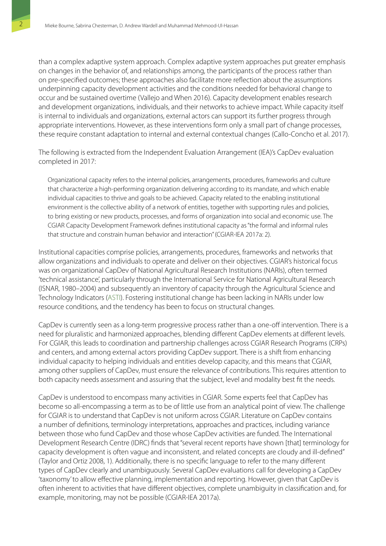than a complex adaptive system approach. Complex adaptive system approaches put greater emphasis on changes in the behavior of, and relationships among, the participants of the process rather than on pre-specified outcomes; these approaches also facilitate more reflection about the assumptions underpinning capacity development activities and the conditions needed for behavioral change to occur and be sustained overtime (Vallejo and When 2016). Capacity development enables research and development organizations, individuals, and their networks to achieve impact. While capacity itself is internal to individuals and organizations, external actors can support its further progress through appropriate interventions. However, as these interventions form only a small part of change processes, these require constant adaptation to internal and external contextual changes (Callo-Concho et al. 2017).

The following is extracted from the Independent Evaluation Arrangement (IEA)'s CapDev evaluation completed in 2017:

Organizational capacity refers to the internal policies, arrangements, procedures, frameworks and culture that characterize a high-performing organization delivering according to its mandate, and which enable individual capacities to thrive and goals to be achieved. Capacity related to the enabling institutional environment is the collective ability of a network of entities, together with supporting rules and policies, to bring existing or new products, processes, and forms of organization into social and economic use. The CGIAR Capacity Development Framework defines institutional capacity as "the formal and informal rules that structure and constrain human behavior and interaction" (CGIAR-IEA 2017a: 2).

Institutional capacities comprise policies, arrangements, procedures, frameworks and networks that allow organizations and individuals to operate and deliver on their objectives. CGIAR's historical focus was on organizational CapDev of National Agricultural Research Institutions (NARIs), often termed 'technical assistance', particularly through the International Service for National Agricultural Research (ISNAR, 1980–2004) and subsequently an inventory of capacity through the Agricultural Science and Technology Indicators [\(ASTI](https://www.ifpri.org/program/agricultural-science-and-technology-indicators-asti)). Fostering institutional change has been lacking in NARIs under low resource conditions, and the tendency has been to focus on structural changes.

CapDev is currently seen as a long-term progressive process rather than a one-off intervention. There is a need for pluralistic and harmonized approaches, blending different CapDev elements at different levels. For CGIAR, this leads to coordination and partnership challenges across CGIAR Research Programs (CRPs) and centers, and among external actors providing CapDev support. There is a shift from enhancing individual capacity to helping individuals and entities develop capacity, and this means that CGIAR, among other suppliers of CapDev, must ensure the relevance of contributions. This requires attention to both capacity needs assessment and assuring that the subject, level and modality best fit the needs.

CapDev is understood to encompass many activities in CGIAR. Some experts feel that CapDev has become so all-encompassing a term as to be of little use from an analytical point of view. The challenge for CGIAR is to understand that CapDev is not uniform across CGIAR. Literature on CapDev contains a number of definitions, terminology interpretations, approaches and practices, including variance between those who fund CapDev and those whose CapDev activities are funded. The International Development Research Centre (IDRC) finds that "several recent reports have shown [that] terminology for capacity development is often vague and inconsistent, and related concepts are cloudy and ill-defined" (Taylor and Ortiz 2008, 1). Additionally, there is no specific language to refer to the many different types of CapDev clearly and unambiguously. Several CapDev evaluations call for developing a CapDev 'taxonomy' to allow effective planning, implementation and reporting. However, given that CapDev is often inherent to activities that have different objectives, complete unambiguity in classification and, for example, monitoring, may not be possible (CGIAR-IEA 2017a).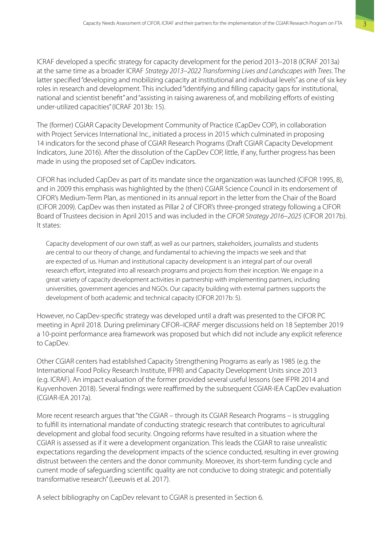ICRAF developed a specific strategy for capacity development for the period 2013–2018 (ICRAF 2013a) at the same time as a broader ICRAF *Strategy 2013–2022 Transforming Lives and Landscapes with Trees*. The latter specified "developing and mobilizing capacity at institutional and individual levels" as one of six key roles in research and development. This included "identifying and filling capacity gaps for institutional, national and scientist benefit" and "assisting in raising awareness of, and mobilizing efforts of existing under-utilized capacities" (ICRAF 2013b: 15).

The (former) CGIAR Capacity Development Community of Practice (CapDev COP), in collaboration with Project Services International Inc., initiated a process in 2015 which culminated in proposing 14 indicators for the second phase of CGIAR Research Programs (Draft CGIAR Capacity Development Indicators, June 2016). After the dissolution of the CapDev COP, little, if any, further progress has been made in using the proposed set of CapDev indicators.

CIFOR has included CapDev as part of its mandate since the organization was launched (CIFOR 1995, 8), and in 2009 this emphasis was highlighted by the (then) CGIAR Science Council in its endorsement of CIFOR's Medium-Term Plan, as mentioned in its annual report in the letter from the Chair of the Board (CIFOR 2009). CapDev was then instated as Pillar 2 of CIFOR's three-pronged strategy following a CIFOR Board of Trustees decision in April 2015 and was included in the *CIFOR Strategy 2016–2025* (CIFOR 2017b). It states:

Capacity development of our own staff, as well as our partners, stakeholders, journalists and students are central to our theory of change, and fundamental to achieving the impacts we seek and that are expected of us. Human and institutional capacity development is an integral part of our overall research effort, integrated into all research programs and projects from their inception. We engage in a great variety of capacity development activities in partnership with implementing partners, including universities, government agencies and NGOs. Our capacity building with external partners supports the development of both academic and technical capacity (CIFOR 2017b: 5).

However, no CapDev-specific strategy was developed until a draft was presented to the CIFOR PC meeting in April 2018. During preliminary CIFOR–ICRAF merger discussions held on 18 September 2019 a 10-point performance area framework was proposed but which did not include any explicit reference to CapDev.

Other CGIAR centers had established Capacity Strengthening Programs as early as 1985 (e.g. the International Food Policy Research Institute, IFPRI) and Capacity Development Units since 2013 (e.g. ICRAF). An impact evaluation of the former provided several useful lessons (see IFPRI 2014 and Kuyvenhoven 2018). Several findings were reaffirmed by the subsequent CGIAR-IEA CapDev evaluation (CGIAR-IEA 2017a).

More recent research argues that "the CGIAR – through its CGIAR Research Programs – is struggling to fulfill its international mandate of conducting strategic research that contributes to agricultural development and global food security. Ongoing reforms have resulted in a situation where the CGIAR is assessed as if it were a development organization. This leads the CGIAR to raise unrealistic expectations regarding the development impacts of the science conducted, resulting in ever growing distrust between the centers and the donor community. Moreover, its short-term funding cycle and current mode of safeguarding scientific quality are not conducive to doing strategic and potentially transformative research" (Leeuwis et al. 2017).

A select bibliography on CapDev relevant to CGIAR is presented in Section 6.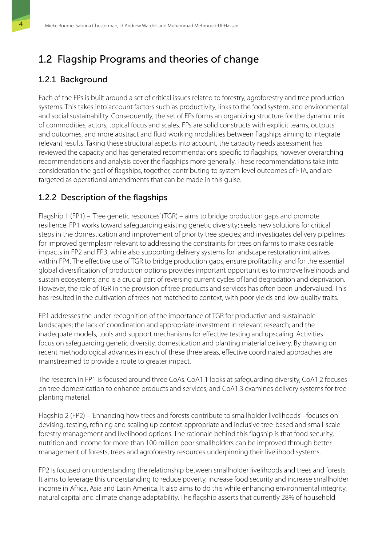## <span id="page-15-0"></span>1.2 Flagship Programs and theories of change

## 1.2.1 Background

Each of the FPs is built around a set of critical issues related to forestry, agroforestry and tree production systems. This takes into account factors such as productivity, links to the food system, and environmental and social sustainability. Consequently, the set of FPs forms an organizing structure for the dynamic mix of commodities, actors, topical focus and scales. FPs are solid constructs with explicit teams, outputs and outcomes, and more abstract and fluid working modalities between flagships aiming to integrate relevant results. Taking these structural aspects into account, the capacity needs assessment has reviewed the capacity and has generated recommendations specific to flagships, however overarching recommendations and analysis cover the flagships more generally. These recommendations take into consideration the goal of flagships, together, contributing to system level outcomes of FTA, and are targeted as operational amendments that can be made in this guise.

## 1.2.2 Description of the flagships

Flagship 1 (FP1) – 'Tree genetic resources' (TGR) – aims to bridge production gaps and promote resilience. FP1 works toward safeguarding existing genetic diversity; seeks new solutions for critical steps in the domestication and improvement of priority tree species; and investigates delivery pipelines for improved germplasm relevant to addressing the constraints for trees on farms to make desirable impacts in FP2 and FP3, while also supporting delivery systems for landscape restoration initiatives within FP4. The effective use of TGR to bridge production gaps, ensure profitability, and for the essential global diversification of production options provides important opportunities to improve livelihoods and sustain ecosystems, and is a crucial part of reversing current cycles of land degradation and deprivation. However, the role of TGR in the provision of tree products and services has often been undervalued. This has resulted in the cultivation of trees not matched to context, with poor yields and low-quality traits.

FP1 addresses the under-recognition of the importance of TGR for productive and sustainable landscapes; the lack of coordination and appropriate investment in relevant research; and the inadequate models, tools and support mechanisms for effective testing and upscaling. Activities focus on safeguarding genetic diversity, domestication and planting material delivery. By drawing on recent methodological advances in each of these three areas, effective coordinated approaches are mainstreamed to provide a route to greater impact.

The research in FP1 is focused around three CoAs. CoA1.1 looks at safeguarding diversity, CoA1.2 focuses on tree domestication to enhance products and services, and CoA1.3 examines delivery systems for tree planting material.

Flagship 2 (FP2) – 'Enhancing how trees and forests contribute to smallholder livelihoods' –focuses on devising, testing, refining and scaling up context-appropriate and inclusive tree-based and small-scale forestry management and livelihood options. The rationale behind this flagship is that food security, nutrition and income for more than 100 million poor smallholders can be improved through better management of forests, trees and agroforestry resources underpinning their livelihood systems.

FP2 is focused on understanding the relationship between smallholder livelihoods and trees and forests. It aims to leverage this understanding to reduce poverty, increase food security and increase smallholder income in Africa, Asia and Latin America. It also aims to do this while enhancing environmental integrity, natural capital and climate change adaptability. The flagship asserts that currently 28% of household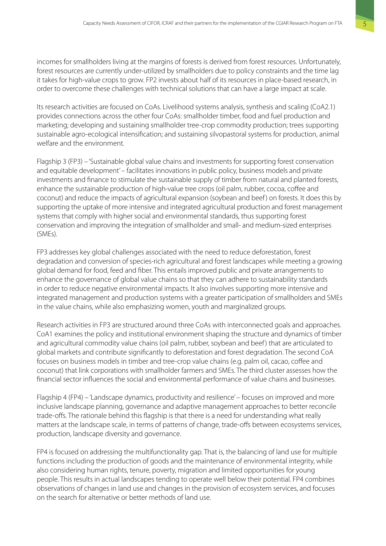incomes for smallholders living at the margins of forests is derived from forest resources. Unfortunately, forest resources are currently under-utilized by smallholders due to policy constraints and the time lag it takes for high-value crops to grow. FP2 invests about half of its resources in place-based research, in order to overcome these challenges with technical solutions that can have a large impact at scale.

Its research activities are focused on CoAs. Livelihood systems analysis, synthesis and scaling (CoA2.1) provides connections across the other four CoAs: smallholder timber, food and fuel production and marketing; developing and sustaining smallholder tree-crop commodity production; trees supporting sustainable agro-ecological intensification; and sustaining silvopastoral systems for production, animal welfare and the environment.

Flagship 3 (FP3) – 'Sustainable global value chains and investments for supporting forest conservation and equitable development' – facilitates innovations in public policy, business models and private investments and finance to stimulate the sustainable supply of timber from natural and planted forests, enhance the sustainable production of high-value tree crops (oil palm, rubber, cocoa, coffee and coconut) and reduce the impacts of agricultural expansion (soybean and beef) on forests. It does this by supporting the uptake of more intensive and integrated agricultural production and forest management systems that comply with higher social and environmental standards, thus supporting forest conservation and improving the integration of smallholder and small- and medium-sized enterprises (SMEs).

FP3 addresses key global challenges associated with the need to reduce deforestation, forest degradation and conversion of species-rich agricultural and forest landscapes while meeting a growing global demand for food, feed and fiber. This entails improved public and private arrangements to enhance the governance of global value chains so that they can adhere to sustainability standards in order to reduce negative environmental impacts. It also involves supporting more intensive and integrated management and production systems with a greater participation of smallholders and SMEs in the value chains, while also emphasizing women, youth and marginalized groups.

Research activities in FP3 are structured around three CoAs with interconnected goals and approaches. CoA1 examines the policy and institutional environment shaping the structure and dynamics of timber and agricultural commodity value chains (oil palm, rubber, soybean and beef) that are articulated to global markets and contribute significantly to deforestation and forest degradation. The second CoA focuses on business models in timber and tree-crop value chains (e.g. palm oil, cacao, coffee and coconut) that link corporations with smallholder farmers and SMEs. The third cluster assesses how the financial sector influences the social and environmental performance of value chains and businesses.

Flagship 4 (FP4) – 'Landscape dynamics, productivity and resilience' – focuses on improved and more inclusive landscape planning, governance and adaptive management approaches to better reconcile trade-offs. The rationale behind this flagship is that there is a need for understanding what really matters at the landscape scale, in terms of patterns of change, trade-offs between ecosystems services, production, landscape diversity and governance.

FP4 is focused on addressing the multifunctionality gap. That is, the balancing of land use for multiple functions including the production of goods and the maintenance of environmental integrity, while also considering human rights, tenure, poverty, migration and limited opportunities for young people. This results in actual landscapes tending to operate well below their potential. FP4 combines observations of changes in land use and changes in the provision of ecosystem services, and focuses on the search for alternative or better methods of land use.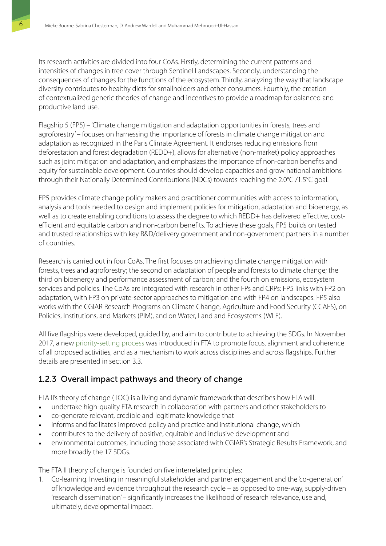Its research activities are divided into four CoAs. Firstly, determining the current patterns and intensities of changes in tree cover through Sentinel Landscapes. Secondly, understanding the consequences of changes for the functions of the ecosystem. Thirdly, analyzing the way that landscape diversity contributes to healthy diets for smallholders and other consumers. Fourthly, the creation of contextualized generic theories of change and incentives to provide a roadmap for balanced and productive land use.

Flagship 5 (FP5) – 'Climate change mitigation and adaptation opportunities in forests, trees and agroforestry' – focuses on harnessing the importance of forests in climate change mitigation and adaptation as recognized in the Paris Climate Agreement. It endorses reducing emissions from deforestation and forest degradation (REDD+), allows for alternative (non-market) policy approaches such as joint mitigation and adaptation, and emphasizes the importance of non-carbon benefits and equity for sustainable development. Countries should develop capacities and grow national ambitions through their Nationally Determined Contributions (NDCs) towards reaching the 2.0°C /1.5°C goal.

FP5 provides climate change policy makers and practitioner communities with access to information, analysis and tools needed to design and implement policies for mitigation, adaptation and bioenergy, as well as to create enabling conditions to assess the degree to which REDD+ has delivered effective, costefficient and equitable carbon and non-carbon benefits. To achieve these goals, FP5 builds on tested and trusted relationships with key R&D/delivery government and non-government partners in a number of countries.

Research is carried out in four CoAs. The first focuses on achieving climate change mitigation with forests, trees and agroforestry; the second on adaptation of people and forests to climate change; the third on bioenergy and performance assessment of carbon; and the fourth on emissions, ecosystem services and policies. The CoAs are integrated with research in other FPs and CRPs: FP5 links with FP2 on adaptation, with FP3 on private-sector approaches to mitigation and with FP4 on landscapes. FP5 also works with the CGIAR Research Programs on Climate Change, Agriculture and Food Security (CCAFS), on Policies, Institutions, and Markets (PIM), and on Water, Land and Ecosystems (WLE).

All five flagships were developed, guided by, and aim to contribute to achieving the SDGs. In November 2017, a new [priority-setting process](https://www.foreststreesagroforestry.org/wp-content/uploads/pdf/FTA-Prioritized-2017-2.pdf) was introduced in FTA to promote focus, alignment and coherence of all proposed activities, and as a mechanism to work across disciplines and across flagships. Further details are presented in section 3.3.

## 1.2.3 Overall impact pathways and theory of change

FTA II's theory of change (TOC) is a living and dynamic framework that describes how FTA will:

- undertake high-quality FTA research in collaboration with partners and other stakeholders to
- co-generate relevant, credible and legitimate knowledge that
- informs and facilitates improved policy and practice and institutional change, which
- contributes to the delivery of positive, equitable and inclusive development and
- environmental outcomes, including those associated with CGIAR's Strategic Results Framework, and more broadly the 17 SDGs.

The FTA II theory of change is founded on five interrelated principles:

1. Co-learning. Investing in meaningful stakeholder and partner engagement and the 'co-generation' of knowledge and evidence throughout the research cycle – as opposed to one-way, supply-driven 'research dissemination' – significantly increases the likelihood of research relevance, use and, ultimately, developmental impact.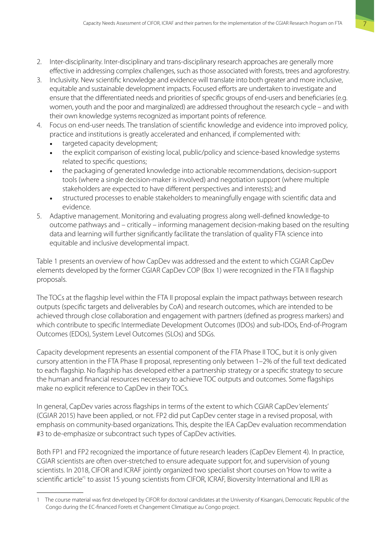- 2. Inter-disciplinarity. Inter-disciplinary and trans-disciplinary research approaches are generally more effective in addressing complex challenges, such as those associated with forests, trees and agroforestry.
- 3. Inclusivity. New scientific knowledge and evidence will translate into both greater and more inclusive, equitable and sustainable development impacts. Focused efforts are undertaken to investigate and ensure that the differentiated needs and priorities of specific groups of end-users and beneficiaries (e.g. women, youth and the poor and marginalized) are addressed throughout the research cycle – and with their own knowledge systems recognized as important points of reference.
- 4. Focus on end-user needs. The translation of scientific knowledge and evidence into improved policy, practice and institutions is greatly accelerated and enhanced, if complemented with:
	- targeted capacity development;
	- the explicit comparison of existing local, public/policy and science-based knowledge systems related to specific questions;
	- the packaging of generated knowledge into actionable recommendations, decision-support tools (where a single decision-maker is involved) and negotiation support (where multiple stakeholders are expected to have different perspectives and interests); and
	- structured processes to enable stakeholders to meaningfully engage with scientific data and evidence.
- 5. Adaptive management. Monitoring and evaluating progress along well-defined knowledge-to outcome pathways and – critically – informing management decision-making based on the resulting data and learning will further significantly facilitate the translation of quality FTA science into equitable and inclusive developmental impact.

Table 1 presents an overview of how CapDev was addressed and the extent to which CGIAR CapDev elements developed by the former CGIAR CapDev COP (Box 1) were recognized in the FTA II flagship proposals.

The TOCs at the flagship level within the FTA II proposal explain the impact pathways between research outputs (specific targets and deliverables by CoA) and research outcomes, which are intended to be achieved through close collaboration and engagement with partners (defined as progress markers) and which contribute to specific Intermediate Development Outcomes (IDOs) and sub-IDOs, End-of-Program Outcomes (EDOs), System Level Outcomes (SLOs) and SDGs.

Capacity development represents an essential component of the FTA Phase II TOC, but it is only given cursory attention in the FTA Phase II proposal, representing only between 1–2% of the full text dedicated to each flagship. No flagship has developed either a partnership strategy or a specific strategy to secure the human and financial resources necessary to achieve TOC outputs and outcomes. Some flagships make no explicit reference to CapDev in their TOCs.

In general, CapDev varies across flagships in terms of the extent to which CGIAR CapDev 'elements' (CGIAR 2015) have been applied, or not. FP2 did put CapDev center stage in a revised proposal, with emphasis on community-based organizations. This, despite the IEA CapDev evaluation recommendation #3 to de-emphasize or subcontract such types of CapDev activities.

Both FP1 and FP2 recognized the importance of future research leaders (CapDev Element 4). In practice, CGIAR scientists are often over-stretched to ensure adequate support for, and supervision of young scientists. In 2018, CIFOR and ICRAF jointly organized two specialist short courses on 'How to write a scientific article<sup>'1</sup> to assist 15 young scientists from CIFOR, ICRAF, Bioversity International and ILRI as

<sup>1</sup> The course material was first developed by CIFOR for doctoral candidates at the University of Kisangani, Democratic Republic of the Congo during the EC-financed Forets et Changement Climatique au Congo project.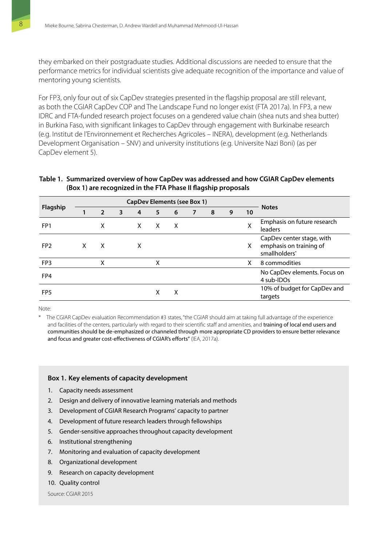<span id="page-19-0"></span>they embarked on their postgraduate studies. Additional discussions are needed to ensure that the performance metrics for individual scientists give adequate recognition of the importance and value of mentoring young scientists.

For FP3, only four out of six CapDev strategies presented in the flagship proposal are still relevant, as both the CGIAR CapDev COP and The Landscape Fund no longer exist (FTA 2017a). In FP3, a new IDRC and FTA-funded research project focuses on a gendered value chain (shea nuts and shea butter) in Burkina Faso, with significant linkages to CapDev through engagement with Burkinabe research (e.g. Institut de l'Environnement et Recherches Agricoles – INERA), development (e.g. Netherlands Development Organisation – SNV) and university institutions (e.g. Universite Nazi Boni) (as per CapDev element 5).

#### **Table 1. Summarized overview of how CapDev was addressed and how CGIAR CapDev elements (Box 1) are recognized in the FTA Phase II flagship proposals**

|                 | <b>CapDev Elements (see Box 1)</b> |                |   |   |   |   |  |   |   |    |                                                                                   |
|-----------------|------------------------------------|----------------|---|---|---|---|--|---|---|----|-----------------------------------------------------------------------------------|
| Flagship        |                                    | $\overline{2}$ | 3 | 4 | 5 | 6 |  | 8 | 9 | 10 | <b>Notes</b>                                                                      |
| FP <sub>1</sub> |                                    | x              |   | X | X | X |  |   |   | Χ  | Emphasis on future research<br>leaders                                            |
| FP <sub>2</sub> |                                    | X              |   | X |   |   |  |   |   | X  | CapDev center stage, with<br>emphasis on training of<br>smallholders <sup>*</sup> |
| FP <sub>3</sub> |                                    | x              |   |   | χ |   |  |   |   | X  | 8 commodities                                                                     |
| FP4             |                                    |                |   |   |   |   |  |   |   |    | No CapDev elements. Focus on<br>4 sub-IDOs                                        |
| FP <sub>5</sub> |                                    |                |   |   | х | х |  |   |   |    | 10% of budget for CapDev and<br>targets                                           |

Note:

\* The CGIAR CapDev evaluation Recommendation #3 states, "the CGIAR should aim at taking full advantage of the experience and facilities of the centers, particularly with regard to their scientific staff and amenities, and training of local end users and communities should be de-emphasized or channeled through more appropriate CD providers to ensure better relevance and focus and greater cost-effectiveness of CGIAR's efforts" (IEA, 2017a).

#### **Box 1. Key elements of capacity development**

- 1. Capacity needs assessment
- 2. Design and delivery of innovative learning materials and methods
- 3. Development of CGIAR Research Programs' capacity to partner
- 4. Development of future research leaders through fellowships
- 5. Gender-sensitive approaches throughout capacity development
- 6. Institutional strengthening
- 7. Monitoring and evaluation of capacity development
- 8. Organizational development
- 9. Research on capacity development
- 10. Quality control

Source: CGIAR 2015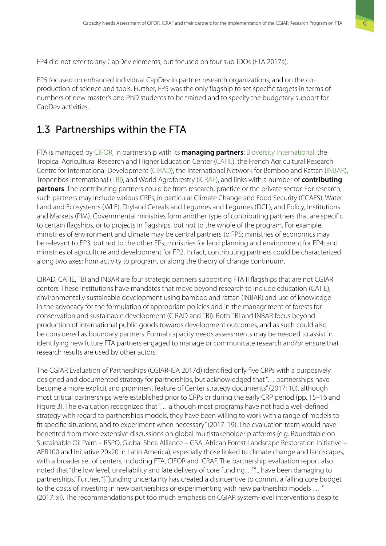<span id="page-20-0"></span>FP4 did not refer to any CapDev elements, but focused on four sub-IDOs (FTA 2017a).

FP5 focused on enhanced individual CapDev in partner research organizations, and on the coproduction of science and tools. Further, FP5 was the only flagship to set specific targets in terms of numbers of new master's and PhD students to be trained and to specify the budgetary support for CapDev activities.

## 1.3 Partnerships within the FTA

FTA is managed by [CIFOR](https://www.cifor.org), in partnership with its **managing partners**: [Bioversity International,](https://www.bioversityinternational.org/) the Tropical Agricultural Research and Higher Education Center [\(CATIE\)](https://catie.ac.cr/en/), the French Agricultural Research Centre for International Development ([CIRAD\)](http://www.cirad.fr/en), the International Network for Bamboo and Rattan ([INBAR\)](http://www.inbar.int/), Tropenbos International ([TBI\)](http://www.tropenbos.org/), and World Agroforestry [\(ICRAF](http://www.worldagroforestry.org)), and links with a number of **contributing partners**. The contributing partners could be from research, practice or the private sector. For research, such partners may include various CRPs, in particular Climate Change and Food Security (CCAFS), Water Land and Ecosystems (WLE), Dryland Cereals and Legumes and Legumes (DCL), and Policy, Institutions and Markets (PIM). Governmental ministries form another type of contributing partners that are specific to certain flagships, or to projects in flagships, but not to the whole of the program. For example, ministries of environment and climate may be central partners to FP5; ministries of economics may be relevant to FP3, but not to the other FPs; ministries for land planning and environment for FP4; and ministries of agriculture and development for FP2. In fact, contributing partners could be characterized along two axes: from activity to program, or along the theory of change continuum.

CIRAD, CATIE, TBI and INBAR are four strategic partners supporting FTA II flagships that are not CGIAR centers. These institutions have mandates that move beyond research to include education (CATIE), environmentally sustainable development using bamboo and rattan (INBAR) and use of knowledge in the advocacy for the formulation of appropriate policies and in the management of forests for conservation and sustainable development (CIRAD and TBI). Both TBI and INBAR focus beyond production of international public goods towards development outcomes, and as such could also be considered as boundary partners. Formal capacity needs assessments may be needed to assist in identifying new future FTA partners engaged to manage or communicate research and/or ensure that research results are used by other actors.

The CGIAR Evaluation of Partnerships (CGIAR-IEA 2017d) identified only five CRPs with a purposively designed and documented strategy for partnerships, but acknowledged that "… partnerships have become a more explicit and prominent feature of Center strategy documents" (2017: 10), although most critical partnerships were established prior to CRPs or during the early CRP period (pp. 15–16 and Figure 3). The evaluation recognized that "… although most programs have not had a well-defined strategy with regard to partnerships models, they have been willing to work with a range of models to fit specific situations, and to experiment when necessary" (2017: 19). The evaluation team would have benefited from more extensive discussions on global multistakeholder platforms (e.g. Roundtable on Sustainable Oil Palm – RSPO, Global Shea Alliance – GSA, African Forest Landscape Restoration Initiative – AFR100 and Initiative 20x20 in Latin America), especially those linked to climate change and landscapes, with a broader set of centers, including FTA, CIFOR and ICRAF. The partnership evaluation report also noted that "the low level, unreliability and late delivery of core funding…" "... have been damaging to partnerships." Further, "[f ]unding uncertainty has created a disincentive to commit a falling core budget to the costs of investing in new partnerships or experimenting with new partnership models … " (2017: xi). The recommendations put too much emphasis on CGIAR system-level interventions despite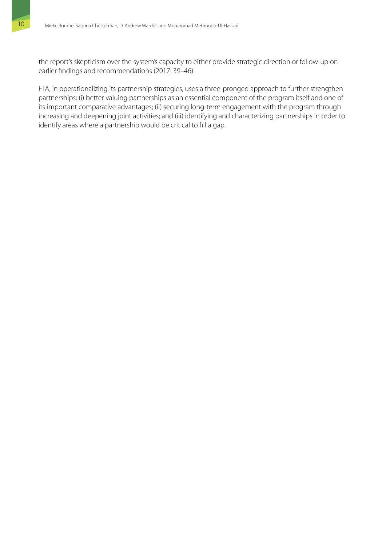the report's skepticism over the system's capacity to either provide strategic direction or follow-up on earlier findings and recommendations (2017: 39–46).

FTA, in operationalizing its partnership strategies, uses a three-pronged approach to further strengthen partnerships: (i) better valuing partnerships as an essential component of the program itself and one of its important comparative advantages; (ii) securing long-term engagement with the program through increasing and deepening joint activities; and (iii) identifying and characterizing partnerships in order to identify areas where a partnership would be critical to fill a gap.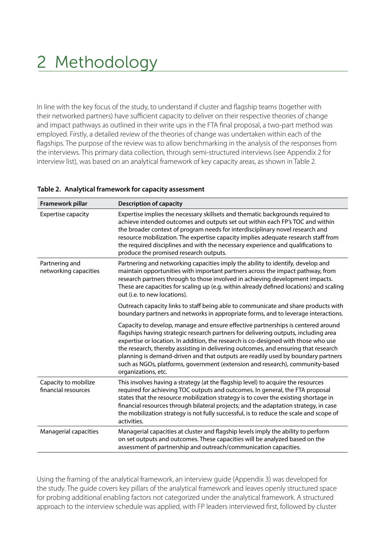# <span id="page-22-0"></span>2 Methodology

In line with the key focus of the study, to understand if cluster and flagship teams (together with their networked partners) have sufficient capacity to deliver on their respective theories of change and impact pathways as outlined in their write ups in the FTA final proposal, a two-part method was employed. Firstly, a detailed review of the theories of change was undertaken within each of the flagships. The purpose of the review was to allow benchmarking in the analysis of the responses from the interviews. This primary data collection, through semi-structured interviews (see Appendix 2 for interview list), was based on an analytical framework of key capacity areas, as shown in Table 2.

| Framework pillar                            | <b>Description of capacity</b>                                                                                                                                                                                                                                                                                                                                                                                                                                                                                                                  |  |  |  |
|---------------------------------------------|-------------------------------------------------------------------------------------------------------------------------------------------------------------------------------------------------------------------------------------------------------------------------------------------------------------------------------------------------------------------------------------------------------------------------------------------------------------------------------------------------------------------------------------------------|--|--|--|
| <b>Expertise capacity</b>                   | Expertise implies the necessary skillsets and thematic backgrounds required to<br>achieve intended outcomes and outputs set out within each FP's TOC and within<br>the broader context of program needs for interdisciplinary novel research and<br>resource mobilization. The expertise capacity implies adequate research staff from<br>the required disciplines and with the necessary experience and qualifications to<br>produce the promised research outputs.                                                                            |  |  |  |
| Partnering and<br>networking capacities     | Partnering and networking capacities imply the ability to identify, develop and<br>maintain opportunities with important partners across the impact pathway, from<br>research partners through to those involved in achieving development impacts.<br>These are capacities for scaling up (e.g. within already defined locations) and scaling<br>out (i.e. to new locations).                                                                                                                                                                   |  |  |  |
|                                             | Outreach capacity links to staff being able to communicate and share products with<br>boundary partners and networks in appropriate forms, and to leverage interactions.                                                                                                                                                                                                                                                                                                                                                                        |  |  |  |
|                                             | Capacity to develop, manage and ensure effective partnerships is centered around<br>flagships having strategic research partners for delivering outputs, including area<br>expertise or location. In addition, the research is co-designed with those who use<br>the research, thereby assisting in delivering outcomes, and ensuring that research<br>planning is demand-driven and that outputs are readily used by boundary partners<br>such as NGOs, platforms, government (extension and research), community-based<br>organizations, etc. |  |  |  |
| Capacity to mobilize<br>financial resources | This involves having a strategy (at the flagship level) to acquire the resources<br>required for achieving TOC outputs and outcomes. In general, the FTA proposal<br>states that the resource mobilization strategy is to cover the existing shortage in<br>financial resources through bilateral projects; and the adaptation strategy, in case<br>the mobilization strategy is not fully successful, is to reduce the scale and scope of<br>activities.                                                                                       |  |  |  |
| Managerial capacities                       | Managerial capacities at cluster and flagship levels imply the ability to perform<br>on set outputs and outcomes. These capacities will be analyzed based on the<br>assessment of partnership and outreach/communication capacities.                                                                                                                                                                                                                                                                                                            |  |  |  |

#### **Table 2. Analytical framework for capacity assessment**

Using the framing of the analytical framework, an interview guide (Appendix 3) was developed for the study. The guide covers key pillars of the analytical framework and leaves openly structured space for probing additional enabling factors not categorized under the analytical framework. A structured approach to the interview schedule was applied, with FP leaders interviewed first, followed by cluster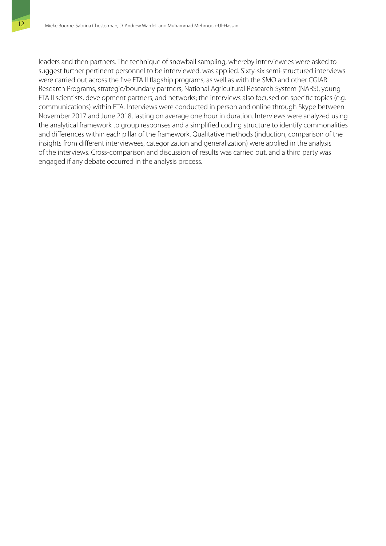leaders and then partners. The technique of snowball sampling, whereby interviewees were asked to suggest further pertinent personnel to be interviewed, was applied. Sixty-six semi-structured interviews were carried out across the five FTA II flagship programs, as well as with the SMO and other CGIAR Research Programs, strategic/boundary partners, National Agricultural Research System (NARS), young FTA II scientists, development partners, and networks; the interviews also focused on specific topics (e.g. communications) within FTA. Interviews were conducted in person and online through Skype between November 2017 and June 2018, lasting on average one hour in duration. Interviews were analyzed using the analytical framework to group responses and a simplified coding structure to identify commonalities and differences within each pillar of the framework. Qualitative methods (induction, comparison of the insights from different interviewees, categorization and generalization) were applied in the analysis of the interviews. Cross-comparison and discussion of results was carried out, and a third party was engaged if any debate occurred in the analysis process.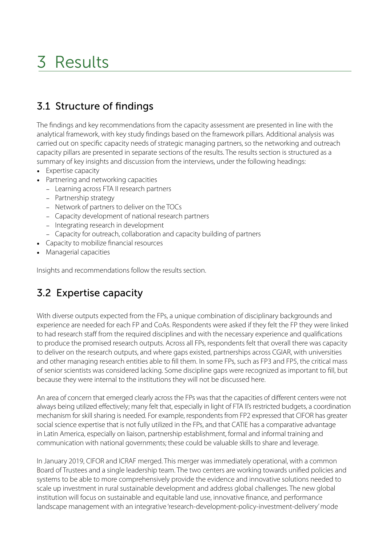# <span id="page-24-0"></span>3 Results

## 3.1 Structure of findings

The findings and key recommendations from the capacity assessment are presented in line with the analytical framework, with key study findings based on the framework pillars. Additional analysis was carried out on specific capacity needs of strategic managing partners, so the networking and outreach capacity pillars are presented in separate sections of the results. The results section is structured as a summary of key insights and discussion from the interviews, under the following headings:

- Expertise capacity
- Partnering and networking capacities
	- − Learning across FTA II research partners
	- − Partnership strategy
	- − Network of partners to deliver on the TOCs
	- − Capacity development of national research partners
	- − Integrating research in development
	- − Capacity for outreach, collaboration and capacity building of partners
- Capacity to mobilize financial resources
- Managerial capacities

Insights and recommendations follow the results section.

## 3.2 Expertise capacity

With diverse outputs expected from the FPs, a unique combination of disciplinary backgrounds and experience are needed for each FP and CoAs. Respondents were asked if they felt the FP they were linked to had research staff from the required disciplines and with the necessary experience and qualifications to produce the promised research outputs. Across all FPs, respondents felt that overall there was capacity to deliver on the research outputs, and where gaps existed, partnerships across CGIAR, with universities and other managing research entities able to fill them. In some FPs, such as FP3 and FP5, the critical mass of senior scientists was considered lacking. Some discipline gaps were recognized as important to fill, but because they were internal to the institutions they will not be discussed here.

An area of concern that emerged clearly across the FPs was that the capacities of different centers were not always being utilized effectively; many felt that, especially in light of FTA II's restricted budgets, a coordination mechanism for skill sharing is needed. For example, respondents from FP2 expressed that CIFOR has greater social science expertise that is not fully utilized in the FPs, and that CATIE has a comparative advantage in Latin America, especially on liaison, partnership establishment, formal and informal training and communication with national governments; these could be valuable skills to share and leverage.

In January 2019, CIFOR and ICRAF merged. This merger was immediately operational, with a common Board of Trustees and a single leadership team. The two centers are working towards unified policies and systems to be able to more comprehensively provide the evidence and innovative solutions needed to scale up investment in rural sustainable development and address global challenges. The new global institution will focus on sustainable and equitable land use, innovative finance, and performance landscape management with an integrative 'research-development-policy-investment-delivery' mode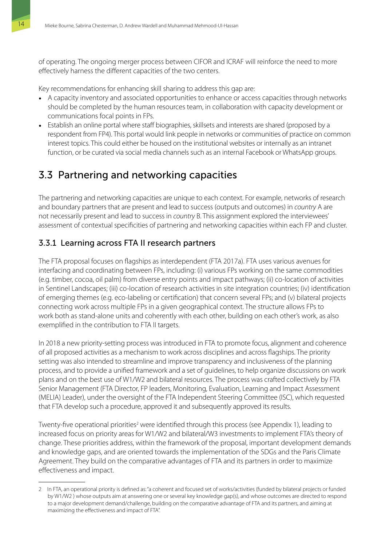<span id="page-25-0"></span>of operating. The ongoing merger process between CIFOR and ICRAF will reinforce the need to more effectively harness the different capacities of the two centers.

Key recommendations for enhancing skill sharing to address this gap are:

- A capacity inventory and associated opportunities to enhance or access capacities through networks should be completed by the human resources team, in collaboration with capacity development or communications focal points in FPs.
- Establish an online portal where staff biographies, skillsets and interests are shared (proposed by a respondent from FP4). This portal would link people in networks or communities of practice on common interest topics. This could either be housed on the institutional websites or internally as an intranet function, or be curated via social media channels such as an internal Facebook or WhatsApp groups.

## 3.3 Partnering and networking capacities

The partnering and networking capacities are unique to each context. For example, networks of research and boundary partners that are present and lead to success (outputs and outcomes) in *country* A are not necessarily present and lead to success in *country* B. This assignment explored the interviewees' assessment of contextual specificities of partnering and networking capacities within each FP and cluster.

## 3.3.1 Learning across FTA II research partners

The FTA proposal focuses on flagships as interdependent (FTA 2017a). FTA uses various avenues for interfacing and coordinating between FPs, including: (i) various FPs working on the same commodities (e.g. timber, cocoa, oil palm) from diverse entry points and impact pathways; (ii) co-location of activities in Sentinel Landscapes; (iii) co-location of research activities in site integration countries; (iv) identification of emerging themes (e.g. eco-labeling or certification) that concern several FPs; and (v) bilateral projects connecting work across multiple FPs in a given geographical context. The structure allows FPs to work both as stand-alone units and coherently with each other, building on each other's work, as also exemplified in the contribution to FTA II targets.

In 2018 a new priority-setting process was introduced in FTA to promote focus, alignment and coherence of all proposed activities as a mechanism to work across disciplines and across flagships. The priority setting was also intended to streamline and improve transparency and inclusiveness of the planning process, and to provide a unified framework and a set of guidelines, to help organize discussions on work plans and on the best use of W1/W2 and bilateral resources. The process was crafted collectively by FTA Senior Management (FTA Director, FP leaders, Monitoring, Evaluation, Learning and Impact Assessment (MELIA) Leader), under the oversight of the FTA Independent Steering Committee (ISC), which requested that FTA develop such a procedure, approved it and subsequently approved its results.

Twenty-five operational priorities<sup>2</sup> were identified through this process (see Appendix 1), leading to increased focus on priority areas for W1/W2 and bilateral/W3 investments to implement FTA's theory of change. These priorities address, within the framework of the proposal, important development demands and knowledge gaps, and are oriented towards the implementation of the SDGs and the Paris Climate Agreement. They build on the comparative advantages of FTA and its partners in order to maximize effectiveness and impact.

<sup>2</sup> In FTA, an operational priority is defined as: "a coherent and focused set of works/activities (funded by bilateral projects or funded by W1/W2 ) whose outputs aim at answering one or several key knowledge gap(s), and whose outcomes are directed to respond to a major development demand/challenge, building on the comparative advantage of FTA and its partners, and aiming at maximizing the effectiveness and impact of FTA".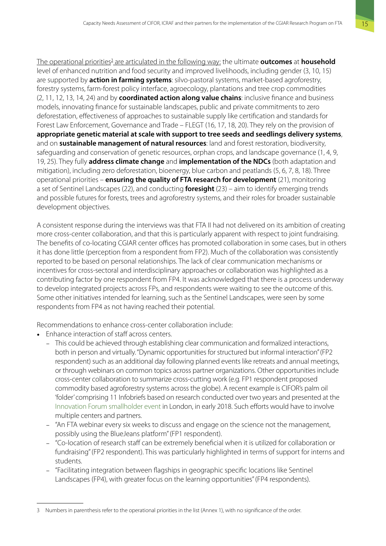The operational priorities<sup>3</sup> are articulated in the following way: the ultimate **outcomes** at **household** level of enhanced nutrition and food security and improved livelihoods, including gender (3, 10, 15) are supported by **action in farming systems**: silvo-pastoral systems, market-based agroforestry, forestry systems, farm-forest policy interface, agroecology, plantations and tree crop commodities (2, 11, 12, 13, 14, 24) and by **coordinated action along value chains**: inclusive finance and business models, innovating finance for sustainable landscapes, public and private commitments to zero deforestation, effectiveness of approaches to sustainable supply like certification and standards for Forest Law Enforcement, Governance and Trade – FLEGT (16, 17, 18, 20). They rely on the provision of **appropriate genetic material at scale with support to tree seeds and seedlings delivery systems**, and on **sustainable management of natural resources**: land and forest restoration, biodiversity, safeguarding and conservation of genetic resources, orphan crops, and landscape governance (1, 4, 9, 19, 25). They fully **address climate change** and **implementation of the NDCs** (both adaptation and mitigation), including zero deforestation, bioenergy, blue carbon and peatlands (5, 6, 7, 8, 18). Three operational priorities – **ensuring the quality of FTA research for development** (21), monitoring a set of Sentinel Landscapes (22), and conducting **foresight** (23) – aim to identify emerging trends and possible futures for forests, trees and agroforestry systems, and their roles for broader sustainable development objectives.

A consistent response during the interviews was that FTA II had not delivered on its ambition of creating more cross-center collaboration, and that this is particularly apparent with respect to joint fundraising. The benefits of co-locating CGIAR center offices has promoted collaboration in some cases, but in others it has done little (perception from a respondent from FP2). Much of the collaboration was consistently reported to be based on personal relationships. The lack of clear communication mechanisms or incentives for cross-sectoral and interdisciplinary approaches or collaboration was highlighted as a contributing factor by one respondent from FP4. It was acknowledged that there is a process underway to develop integrated projects across FPs, and respondents were waiting to see the outcome of this. Some other initiatives intended for learning, such as the Sentinel Landscapes, were seen by some respondents from FP4 as not having reached their potential.

Recommendations to enhance cross-center collaboration include:

- Enhance interaction of staff across centers.
	- − This could be achieved through establishing clear communication and formalized interactions, both in person and virtually. "Dynamic opportunities for structured but informal interaction" (FP2 respondent) such as an additional day following planned events like retreats and annual meetings, or through webinars on common topics across partner organizations. Other opportunities include cross-center collaboration to summarize cross-cutting work (e.g. FP1 respondent proposed commodity based agroforestry systems across the globe). A recent example is CIFOR's palm oil 'folder' comprising 11 Infobriefs based on research conducted over two years and presented at the [Innovation Forum smallholder event](https://innovation-forum.co.uk/smallholders-and-the-sdgs-forum.php) in London, in early 2018. Such efforts would have to involve multiple centers and partners.
	- − "An FTA webinar every six weeks to discuss and engage on the science not the management, possibly using the BlueJeans platform" (FP1 respondent).
	- − "Co-location of research staff can be extremely beneficial when it is utilized for collaboration or fundraising" (FP2 respondent). This was particularly highlighted in terms of support for interns and students.
	- − "Facilitating integration between flagships in geographic specific locations like Sentinel Landscapes (FP4), with greater focus on the learning opportunities" (FP4 respondents).

<sup>3</sup> Numbers in parenthesis refer to the operational priorities in the list (Annex 1), with no significance of the order.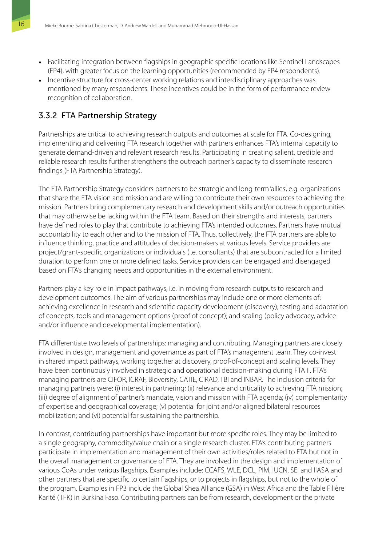- Facilitating integration between flagships in geographic specific locations like Sentinel Landscapes (FP4), with greater focus on the learning opportunities (recommended by FP4 respondents).
- Incentive structure for cross-center working relations and interdisciplinary approaches was mentioned by many respondents. These incentives could be in the form of performance review recognition of collaboration.

## 3.3.2 FTA Partnership Strategy

Partnerships are critical to achieving research outputs and outcomes at scale for FTA. Co-designing, implementing and delivering FTA research together with partners enhances FTA's internal capacity to generate demand-driven and relevant research results. Participating in creating salient, credible and reliable research results further strengthens the outreach partner's capacity to disseminate research findings (FTA Partnership Strategy).

The FTA Partnership Strategy considers partners to be strategic and long-term 'allies', e.g. organizations that share the FTA vision and mission and are willing to contribute their own resources to achieving the mission. Partners bring complementary research and development skills and/or outreach opportunities that may otherwise be lacking within the FTA team. Based on their strengths and interests, partners have defined roles to play that contribute to achieving FTA's intended outcomes. Partners have mutual accountability to each other and to the mission of FTA. Thus, collectively, the FTA partners are able to influence thinking, practice and attitudes of decision-makers at various levels. Service providers are project/grant-specific organizations or individuals (i.e. consultants) that are subcontracted for a limited duration to perform one or more defined tasks. Service providers can be engaged and disengaged based on FTA's changing needs and opportunities in the external environment.

Partners play a key role in impact pathways, i.e. in moving from research outputs to research and development outcomes. The aim of various partnerships may include one or more elements of: achieving excellence in research and scientific capacity development (discovery); testing and adaptation of concepts, tools and management options (proof of concept); and scaling (policy advocacy, advice and/or influence and developmental implementation).

FTA differentiate two levels of partnerships: managing and contributing. Managing partners are closely involved in design, management and governance as part of FTA's management team. They co-invest in shared impact pathways, working together at discovery, proof-of-concept and scaling levels. They have been continuously involved in strategic and operational decision-making during FTA II. FTA's managing partners are CIFOR, ICRAF, Bioversity, CATIE, CIRAD, TBI and INBAR. The inclusion criteria for managing partners were: (i) interest in partnering; (ii) relevance and criticality to achieving FTA mission; (iii) degree of alignment of partner's mandate, vision and mission with FTA agenda; (iv) complementarity of expertise and geographical coverage; (v) potential for joint and/or aligned bilateral resources mobilization; and (vi) potential for sustaining the partnership.

In contrast, contributing partnerships have important but more specific roles. They may be limited to a single geography, commodity/value chain or a single research cluster. FTA's contributing partners participate in implementation and management of their own activities/roles related to FTA but not in the overall management or governance of FTA. They are involved in the design and implementation of various CoAs under various flagships. Examples include: CCAFS, WLE, DCL, PIM, IUCN, SEI and IIASA and other partners that are specific to certain flagships, or to projects in flagships, but not to the whole of the program. Examples in FP3 include the Global Shea Alliance (GSA) in West Africa and the Table Filière Karité (TFK) in Burkina Faso. Contributing partners can be from research, development or the private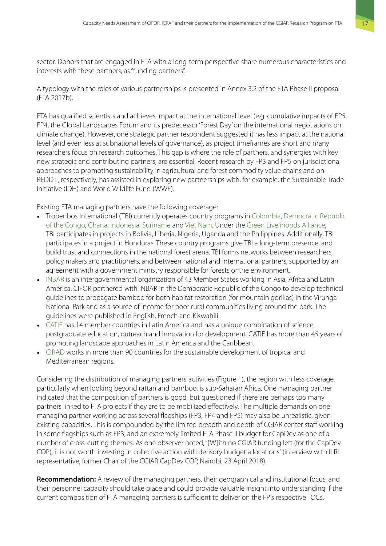sector. Donors that are engaged in FTA with a long-term perspective share numerous characteristics and interests with these partners, as "funding partners".

A typology with the roles of various partnerships is presented in Annex 3.2 of the FTA Phase II proposal (FTA 2017b).

FTA has qualified scientists and achieves impact at the international level (e.g. cumulative impacts of FP5, FP4, the Global Landscapes Forum and its predecessor 'Forest Day' on the international negotiations on climate change). However, one strategic partner respondent suggested it has less impact at the national level (and even less at subnational levels of governance), as project timeframes are short and many researchers focus on research outcomes. This gap is where the role of partners, and synergies with key new strategic and contributing partners, are essential. Recent research by FP3 and FP5 on jurisdictional approaches to promoting sustainability in agricultural and forest commodity value chains and on REDD+, respectively, has assisted in exploring new partnerships with, for example, the Sustainable Trade Initiative (IDH) and World Wildlife Fund (WWF).

Existing FTA managing partners have the following coverage:

- Tropenbos International (TBI) currently operates country programs in [Colombia](http://www.tropenbos.org/country_programmes/colombia), [Democratic Republic](http://www.tropenbos.org/country_programmes/dr+congo)  [of the Congo](http://www.tropenbos.org/country_programmes/dr+congo), [Ghana,](http://www.tropenbos.org/country_programmes/ghana) [Indonesia](http://www.tropenbos.org/country_programmes/indonesia), [Suriname](http://www.tropenbos.org/country_programmes/suriname) and [Viet Nam](http://www.tropenbos.org/country_programmes/viet+nam). Under the [Green Livelihoods Alliance,](http://www.tropenbos.org/projects/green+livelihoods+alliance+-+forested+landscapes+for+equity) TBI participates in projects in Bolivia, Liberia, Nigeria, Uganda and the Philippines. Additionally, TBI participates in a project in Honduras. These country programs give TBI a long-term presence, and build trust and connections in the national forest arena. TBI forms networks between researchers, policy makers and practitioners, and between national and international partners, supported by an agreement with a government ministry responsible for forests or the environment.
- [INBAR](http://www.inbar.int/about-inbar/inbar-membership/) is an intergovernmental organization of 43 Member States working in Asia, Africa and Latin America. CIFOR partnered with INBAR in the Democratic Republic of the Congo to develop technical guidelines to propagate bamboo for both habitat restoration (for mountain gorillas) in the Virunga National Park and as a source of income for poor rural communities living around the park. The guidelines were published in English, French and Kiswahili.
- [CATIE](https://www.catie.ac.cr/en/where-we-work.html) has 14 member countries in Latin America and has a unique combination of science, postgraduate education, outreach and innovation for development. CATIE has more than 45 years of promoting landscape approaches in Latin America and the Caribbean.
- [CIRAD](https://www.cirad.fr/en/who-are-we/cirad-worldwide) works in more than 90 countries for the sustainable development of tropical and Mediterranean regions.

Considering the distribution of managing partners' activities (Figure 1), the region with less coverage, particularly when looking beyond rattan and bamboo, is sub-Saharan Africa. One managing partner indicated that the composition of partners is good, but questioned if there are perhaps too many partners linked to FTA projects if they are to be mobilized effectively. The multiple demands on one managing partner working across several flagships (FP3, FP4 and FP5) may also be unrealistic, given existing capacities. This is compounded by the limited breadth and depth of CGIAR center staff working in some flagships such as FP3, and an extremely limited FTA Phase II budget for CapDev as one of a number of cross-cutting themes. As one observer noted, "[W]ith no CGIAR funding left (for the CapDev COP), it is not worth investing in collective action with derisory budget allocations" (interview with ILRI representative, former Chair of the CGIAR CapDev COP, Nairobi, 23 April 2018).

**Recommendation:** A review of the managing partners, their geographical and institutional focus, and their personnel capacity should take place and could provide valuable insight into understanding if the current composition of FTA managing partners is sufficient to deliver on the FP's respective TOCs.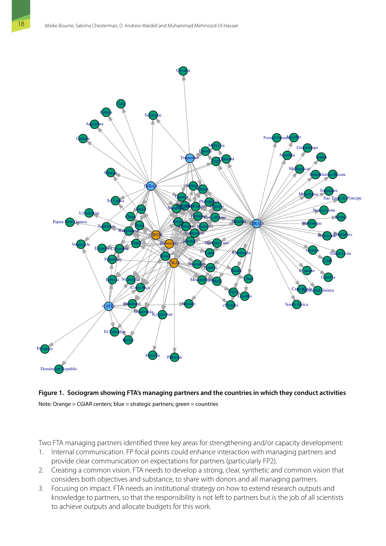<span id="page-29-0"></span>

### **Figure 1. Sociogram showing FTA's managing partners and the countries in which they conduct activities** Note: Orange = CGIAR centers; blue = strategic partners; green = countries

Two FTA managing partners identified three key areas for strengthening and/or capacity development:

- 1. Internal communication. FP focal points could enhance interaction with managing partners and provide clear communication on expectations for partners (particularly FP2).
- 2. Creating a common vision. FTA needs to develop a strong, clear, synthetic and common vision that considers both objectives and substance, to share with donors and all managing partners.
- 3. Focusing on impact. FTA needs an institutional strategy on how to extend research outputs and knowledge to partners, so that the responsibility is not left to partners but is the job of all scientists to achieve outputs and allocate budgets for this work.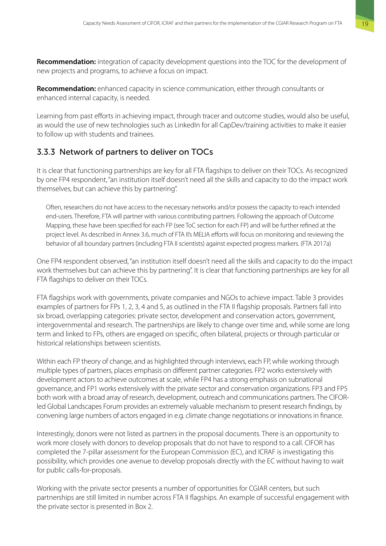**Recommendation:** integration of capacity development questions into the TOC for the development of new projects and programs, to achieve a focus on impact.

**Recommendation:** enhanced capacity in science communication, either through consultants or enhanced internal capacity, is needed.

Learning from past efforts in achieving impact, through tracer and outcome studies, would also be useful, as would the use of new technologies such as LinkedIn for all CapDev/training activities to make it easier to follow up with students and trainees.

### 3.3.3 Network of partners to deliver on TOCs

It is clear that functioning partnerships are key for all FTA flagships to deliver on their TOCs. As recognized by one FP4 respondent, "an institution itself doesn't need all the skills and capacity to do the impact work themselves, but can achieve this by partnering".

Often, researchers do not have access to the necessary networks and/or possess the capacity to reach intended end-users. Therefore, FTA will partner with various contributing partners. Following the approach of Outcome Mapping, these have been specified for each FP (see ToC section for each FP) and will be further refined at the project level. As described in Annex 3.6, much of FTA II's MELIA efforts will focus on monitoring and reviewing the behavior of all boundary partners (including FTA II scientists) against expected progress markers. (FTA 2017a)

One FP4 respondent observed, "an institution itself doesn't need all the skills and capacity to do the impact work themselves but can achieve this by partnering". It is clear that functioning partnerships are key for all FTA flagships to deliver on their TOCs.

FTA flagships work with governments, private companies and NGOs to achieve impact. Table 3 provides examples of partners for FPs 1, 2, 3, 4 and 5, as outlined in the FTA II flagship proposals. Partners fall into six broad, overlapping categories: private sector, development and conservation actors, government, intergovernmental and research. The partnerships are likely to change over time and, while some are long term and linked to FPs, others are engaged on specific, often bilateral, projects or through particular or historical relationships between scientists.

Within each FP theory of change, and as highlighted through interviews, each FP, while working through multiple types of partners, places emphasis on different partner categories. FP2 works extensively with development actors to achieve outcomes at scale, while FP4 has a strong emphasis on subnational governance, and FP1 works extensively with the private sector and conservation organizations. FP3 and FP5 both work with a broad array of research, development, outreach and communications partners. The CIFORled Global Landscapes Forum provides an extremely valuable mechanism to present research findings, by convening large numbers of actors engaged in e.g. climate change negotiations or innovations in finance.

Interestingly, donors were not listed as partners in the proposal documents. There is an opportunity to work more closely with donors to develop proposals that do not have to respond to a call. CIFOR has completed the 7-pillar assessment for the European Commission (EC), and ICRAF is investigating this possibility, which provides one avenue to develop proposals directly with the EC without having to wait for public calls-for-proposals.

Working with the private sector presents a number of opportunities for CGIAR centers, but such partnerships are still limited in number across FTA II flagships. An example of successful engagement with the private sector is presented in Box 2.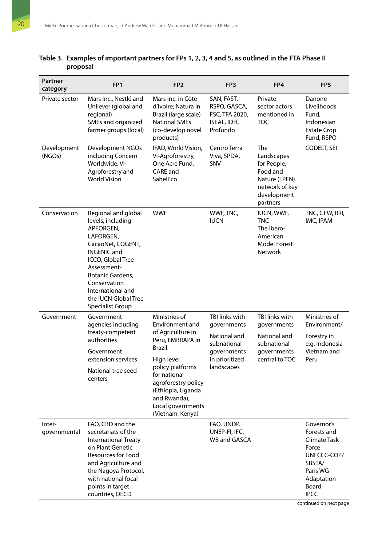| Partner<br>category    | FP <sub>1</sub>                                                                                                                                                                                                                                        | FP <sub>2</sub>                                                                                                                                                                                                                                   | FP <sub>3</sub>                                                                                             | FP4                                                                                                        | FP <sub>5</sub>                                                                                                               |
|------------------------|--------------------------------------------------------------------------------------------------------------------------------------------------------------------------------------------------------------------------------------------------------|---------------------------------------------------------------------------------------------------------------------------------------------------------------------------------------------------------------------------------------------------|-------------------------------------------------------------------------------------------------------------|------------------------------------------------------------------------------------------------------------|-------------------------------------------------------------------------------------------------------------------------------|
| Private sector         | Mars Inc., Nestlé and<br>Unilever (global and<br>regional)<br>SMEs and organized<br>farmer groups (local)                                                                                                                                              | Mars Inc. in Côte<br>d'Ivoire; Natura in<br>Brazil (large scale)<br><b>National SMEs</b><br>(co-develop novel<br>products)                                                                                                                        | SAN, FAST,<br>RSPO, GASCA,<br>FSC, TFA 2020,<br>ISEAL, IDH,<br>Profundo                                     | Private<br>sector actors<br>mentioned in<br><b>TOC</b>                                                     | Danone<br>Livelihoods<br>Fund,<br>Indonesian<br><b>Estate Crop</b><br>Fund, RSPO                                              |
| Development<br>(NGOs)  | <b>Development NGOs</b><br>including Concern<br>Worldwide, Vi-<br>Agroforestry and<br><b>World Vision</b>                                                                                                                                              | IFAD, World Vision,<br>Vi-Agroforestry,<br>One Acre Fund,<br>CARE and<br>SahelEco                                                                                                                                                                 | Centro Terra<br>Viva, SPDA,<br>SNV                                                                          | The<br>Landscapes<br>for People,<br>Food and<br>Nature (LPFN)<br>network of key<br>development<br>partners | CODELT, SEI                                                                                                                   |
| Conservation           | Regional and global<br>levels, including<br>APFORGEN,<br>LAFORGEN,<br>CacaoNet, COGENT,<br><b>INGENIC and</b><br>ICCO, Global Tree<br>Assessment-<br>Botanic Gardens,<br>Conservation<br>International and<br>the IUCN Global Tree<br>Specialist Group | <b>WWF</b>                                                                                                                                                                                                                                        | WWF, TNC,<br><b>IUCN</b>                                                                                    | IUCN, WWF,<br><b>TNC</b><br>The Ibero-<br>American<br><b>Model Forest</b><br><b>Network</b>                | TNC, GFW, RRI,<br>IMC, IPAM                                                                                                   |
| Government             | Government<br>agencies including<br>treaty-competent<br>authorities<br>Government<br>extension services<br>National tree seed<br>centers                                                                                                               | Ministries of<br>Environment and<br>of Agriculture in<br>Peru, EMBRAPA in<br><b>Brazil</b><br>High level<br>policy platforms<br>for national<br>agroforestry policy<br>(Ethiopia, Uganda<br>and Rwanda),<br>Local governments<br>(Vietnam, Kenya) | TBI links with<br>governments<br>National and<br>subnational<br>governments<br>in prioritized<br>landscapes | TBI links with<br>governments<br>National and<br>subnational<br>governments<br>central to TOC              | Ministries of<br>Environment/<br>Forestry in<br>e.g. Indonesia<br>Vietnam and<br>Peru                                         |
| Inter-<br>governmental | FAO, CBD and the<br>secretariats of the<br><b>International Treaty</b><br>on Plant Genetic<br><b>Resources for Food</b><br>and Agriculture and<br>the Nagoya Protocol,<br>with national focal<br>points in target<br>countries, OECD                   |                                                                                                                                                                                                                                                   | FAO, UNDP,<br>UNEP-FI, IFC,<br><b>WB and GASCA</b>                                                          |                                                                                                            | Governor's<br>Forests and<br>Climate Task<br>Force<br>UNFCCC-COP/<br>SBSTA/<br>Paris WG<br>Adaptation<br>Board<br><b>IPCC</b> |

### <span id="page-31-0"></span>**Table 3. Examples of important partners for FPs 1, 2, 3, 4 and 5, as outlined in the FTA Phase II proposal**

continued on next page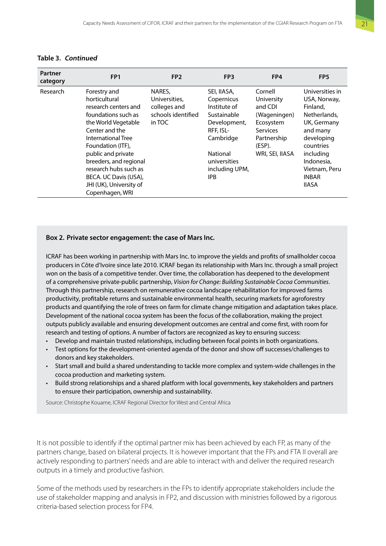<span id="page-32-0"></span>

| Table 3. Continued |
|--------------------|
|--------------------|

| Partner<br>category | FP <sub>1</sub>                                                                                                                                                                                                                                                                                                  | FP <sub>2</sub>                                                         | FP <sub>3</sub>                                                                                                                                                | FP4                                                                                                                          | FP <sub>5</sub>                                                                                                                                                                               |
|---------------------|------------------------------------------------------------------------------------------------------------------------------------------------------------------------------------------------------------------------------------------------------------------------------------------------------------------|-------------------------------------------------------------------------|----------------------------------------------------------------------------------------------------------------------------------------------------------------|------------------------------------------------------------------------------------------------------------------------------|-----------------------------------------------------------------------------------------------------------------------------------------------------------------------------------------------|
| Research            | Forestry and<br>horticultural<br>research centers and<br>foundations such as<br>the World Vegetable<br>Center and the<br>International Tree<br>Foundation (ITF),<br>public and private<br>breeders, and regional<br>research hubs such as<br>BECA. UC Davis (USA),<br>JHI (UK), University of<br>Copenhagen, WRI | NARES,<br>Universities,<br>colleges and<br>schools identified<br>in TOC | SEI, IIASA,<br>Copernicus<br>Institute of<br>Sustainable<br>Development,<br>RFF, ISL-<br>Cambridge<br>National<br>universities<br>including UPM,<br><b>IPB</b> | Cornell<br>University<br>and CDI<br>(Wageningen)<br>Ecosystem<br><b>Services</b><br>Partnership<br>(ESP).<br>WRI, SEI, IIASA | Universities in<br>USA, Norway,<br>Finland,<br>Netherlands,<br>UK, Germany<br>and many<br>developing<br>countries<br>including<br>Indonesia,<br>Vietnam, Peru<br><b>INBAR</b><br><b>IIASA</b> |

#### **Box 2. Private sector engagement: the case of Mars Inc.**

ICRAF has been working in partnership with Mars Inc. to improve the yields and profits of smallholder cocoa producers in Côte d'Ivoire since late 2010. ICRAF began its relationship with Mars Inc. through a small project won on the basis of a competitive tender. Over time, the collaboration has deepened to the development of a comprehensive private-public partnership, *Vision for Change: Building Sustainable Cocoa Communities*. Through this partnership, research on remunerative cocoa landscape rehabilitation for improved farms productivity, profitable returns and sustainable environmental health, securing markets for agroforestry products and quantifying the role of trees on farm for climate change mitigation and adaptation takes place. Development of the national cocoa system has been the focus of the collaboration, making the project outputs publicly available and ensuring development outcomes are central and come first, with room for research and testing of options. A number of factors are recognized as key to ensuring success:

- Develop and maintain trusted relationships, including between focal points in both organizations.
- Test options for the development-oriented agenda of the donor and show off successes/challenges to donors and key stakeholders.
- Start small and build a shared understanding to tackle more complex and system-wide challenges in the cocoa production and marketing system.
- Build strong relationships and a shared platform with local governments, key stakeholders and partners to ensure their participation, ownership and sustainability.

Source: Christophe Kouame, ICRAF Regional Director for West and Central Africa

It is not possible to identify if the optimal partner mix has been achieved by each FP, as many of the partners change, based on bilateral projects. It is however important that the FPs and FTA II overall are actively responding to partners' needs and are able to interact with and deliver the required research outputs in a timely and productive fashion.

Some of the methods used by researchers in the FPs to identify appropriate stakeholders include the use of stakeholder mapping and analysis in FP2, and discussion with ministries followed by a rigorous criteria-based selection process for FP4.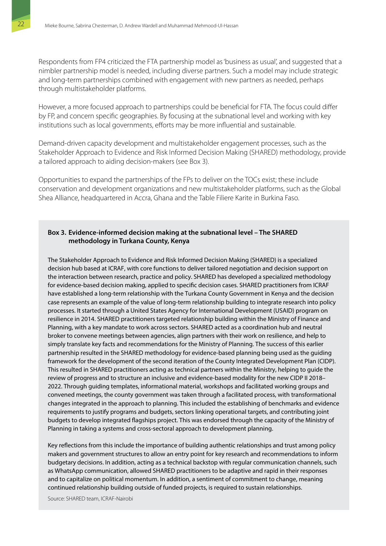Respondents from FP4 criticized the FTA partnership model as 'business as usual', and suggested that a nimbler partnership model is needed, including diverse partners. Such a model may include strategic and long-term partnerships combined with engagement with new partners as needed, perhaps through multistakeholder platforms.

However, a more focused approach to partnerships could be beneficial for FTA. The focus could differ by FP, and concern specific geographies. By focusing at the subnational level and working with key institutions such as local governments, efforts may be more influential and sustainable.

Demand-driven capacity development and multistakeholder engagement processes, such as the Stakeholder Approach to Evidence and Risk Informed Decision Making (SHARED) methodology, provide a tailored approach to aiding decision-makers (see Box 3).

Opportunities to expand the partnerships of the FPs to deliver on the TOCs exist; these include conservation and development organizations and new multistakeholder platforms, such as the Global Shea Alliance, headquartered in Accra, Ghana and the Table Filiere Karite in Burkina Faso.

#### **Box 3. Evidence-informed decision making at the subnational level – The SHARED methodology in Turkana County, Kenya**

The Stakeholder Approach to Evidence and Risk Informed Decision Making (SHARED) is a specialized decision hub based at ICRAF, with core functions to deliver tailored negotiation and decision support on the interaction between research, practice and policy. SHARED has developed a specialized methodology for evidence-based decision making, applied to specific decision cases. SHARED practitioners from ICRAF have established a long-term relationship with the Turkana County Government in Kenya and the decision case represents an example of the value of long-term relationship building to integrate research into policy processes. It started through a United States Agency for International Development (USAID) program on resilience in 2014. SHARED practitioners targeted relationship building within the Ministry of Finance and Planning, with a key mandate to work across sectors. SHARED acted as a coordination hub and neutral broker to convene meetings between agencies, align partners with their work on resilience, and help to simply translate key facts and recommendations for the Ministry of Planning. The success of this earlier partnership resulted in the SHARED methodology for evidence-based planning being used as the guiding framework for the development of the second iteration of the County Integrated Development Plan (CIDP). This resulted in SHARED practitioners acting as technical partners within the Ministry, helping to guide the review of progress and to structure an inclusive and evidence-based modality for the new CIDP II 2018– 2022. Through guiding templates, informational material, workshops and facilitated working groups and convened meetings, the county government was taken through a facilitated process, with transformational changes integrated in the approach to planning. This included the establishing of benchmarks and evidence requirements to justify programs and budgets, sectors linking operational targets, and contributing joint budgets to develop integrated flagships project. This was endorsed through the capacity of the Ministry of Planning in taking a systems and cross-sectoral approach to development planning.

Key reflections from this include the importance of building authentic relationships and trust among policy makers and government structures to allow an entry point for key research and recommendations to inform budgetary decisions. In addition, acting as a technical backstop with regular communication channels, such as WhatsApp communication, allowed SHARED practitioners to be adaptive and rapid in their responses and to capitalize on political momentum. In addition, a sentiment of commitment to change, meaning continued relationship building outside of funded projects, is required to sustain relationships.

Source: SHARED team, ICRAF-Nairobi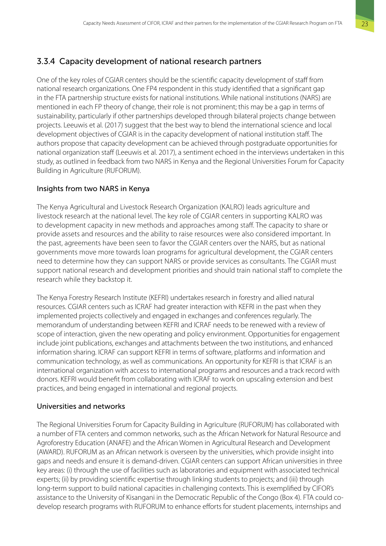## <span id="page-34-0"></span>3.3.4 Capacity development of national research partners

One of the key roles of CGIAR centers should be the scientific capacity development of staff from national research organizations. One FP4 respondent in this study identified that a significant gap in the FTA partnership structure exists for national institutions. While national institutions (NARS) are mentioned in each FP theory of change, their role is not prominent; this may be a gap in terms of sustainability, particularly if other partnerships developed through bilateral projects change between projects. Leeuwis et al. (2017) suggest that the best way to blend the international science and local development objectives of CGIAR is in the capacity development of national institution staff. The authors propose that capacity development can be achieved through postgraduate opportunities for national organization staff (Leeuwis et al. 2017), a sentiment echoed in the interviews undertaken in this study, as outlined in feedback from two NARS in Kenya and the Regional Universities Forum for Capacity Building in Agriculture (RUFORUM).

### Insights from two NARS in Kenya

The Kenya Agricultural and Livestock Research Organization (KALRO) leads agriculture and livestock research at the national level. The key role of CGIAR centers in supporting KALRO was to development capacity in new methods and approaches among staff. The capacity to share or provide assets and resources and the ability to raise resources were also considered important. In the past, agreements have been seen to favor the CGIAR centers over the NARS, but as national governments move more towards loan programs for agricultural development, the CGIAR centers need to determine how they can support NARS or provide services as consultants. The CGIAR must support national research and development priorities and should train national staff to complete the research while they backstop it.

The Kenya Forestry Research Institute (KEFRI) undertakes research in forestry and allied natural resources. CGIAR centers such as ICRAF had greater interaction with KEFRI in the past when they implemented projects collectively and engaged in exchanges and conferences regularly. The memorandum of understanding between KEFRI and ICRAF needs to be renewed with a review of scope of interaction, given the new operating and policy environment. Opportunities for engagement include joint publications, exchanges and attachments between the two institutions, and enhanced information sharing. ICRAF can support KEFRI in terms of software, platforms and information and communication technology, as well as communications. An opportunity for KEFRI is that ICRAF is an international organization with access to international programs and resources and a track record with donors. KEFRI would benefit from collaborating with ICRAF to work on upscaling extension and best practices, and being engaged in international and regional projects.

### Universities and networks

The Regional Universities Forum for Capacity Building in Agriculture (RUFORUM) has collaborated with a number of FTA centers and common networks, such as the African Network for Natural Resource and Agroforestry Education (ANAFE) and the African Women in Agricultural Research and Development (AWARD). RUFORUM as an African network is overseen by the universities, which provide insight into gaps and needs and ensure it is demand-driven. CGIAR centers can support African universities in three key areas: (i) through the use of facilities such as laboratories and equipment with associated technical experts; (ii) by providing scientific expertise through linking students to projects; and (iii) through long-term support to build national capacities in challenging contexts. This is exemplified by CIFOR's assistance to the University of Kisangani in the Democratic Republic of the Congo (Box 4). FTA could codevelop research programs with RUFORUM to enhance efforts for student placements, internships and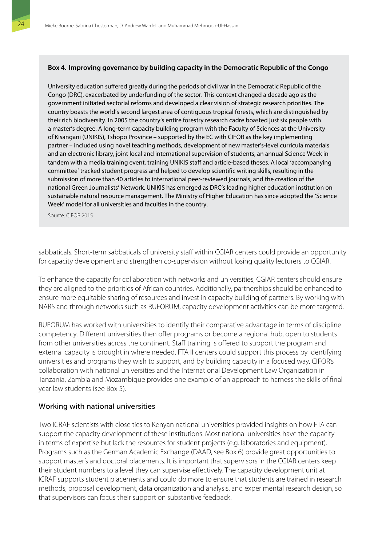#### <span id="page-35-0"></span>**Box 4. Improving governance by building capacity in the Democratic Republic of the Congo**

University education suffered greatly during the periods of civil war in the Democratic Republic of the Congo (DRC), exacerbated by underfunding of the sector. This context changed a decade ago as the government initiated sectorial reforms and developed a clear vision of strategic research priorities. The country boasts the world's second largest area of contiguous tropical forests, which are distinguished by their rich biodiversity. In 2005 the country's entire forestry research cadre boasted just six people with a master's degree. A long-term capacity building program with the Faculty of Sciences at the University of Kisangani (UNIKIS), Tshopo Province – supported by the EC with CIFOR as the key implementing partner – included using novel teaching methods, development of new master's-level curricula materials and an electronic library, joint local and international supervision of students, an annual Science Week in tandem with a media training event, training UNIKIS staff and article-based theses. A local 'accompanying committee' tracked student progress and helped to develop scientific writing skills, resulting in the submission of more than 40 articles to international peer-reviewed journals, and the creation of the national Green Journalists' Network. UNIKIS has emerged as DRC's leading higher education institution on sustainable natural resource management. The Ministry of Higher Education has since adopted the 'Science Week' model for all universities and faculties in the country.

Source: CIFOR 2015

sabbaticals. Short-term sabbaticals of university staff within CGIAR centers could provide an opportunity for capacity development and strengthen co-supervision without losing quality lecturers to CGIAR.

To enhance the capacity for collaboration with networks and universities, CGIAR centers should ensure they are aligned to the priorities of African countries. Additionally, partnerships should be enhanced to ensure more equitable sharing of resources and invest in capacity building of partners. By working with NARS and through networks such as RUFORUM, capacity development activities can be more targeted.

RUFORUM has worked with universities to identify their comparative advantage in terms of discipline competency. Different universities then offer programs or become a regional hub, open to students from other universities across the continent. Staff training is offered to support the program and external capacity is brought in where needed. FTA II centers could support this process by identifying universities and programs they wish to support, and by building capacity in a focused way. CIFOR's collaboration with national universities and the International Development Law Organization in Tanzania, Zambia and Mozambique provides one example of an approach to harness the skills of final year law students (see Box 5).

#### Working with national universities

Two ICRAF scientists with close ties to Kenyan national universities provided insights on how FTA can support the capacity development of these institutions. Most national universities have the capacity in terms of expertise but lack the resources for student projects (e.g. laboratories and equipment). Programs such as the German Academic Exchange (DAAD, see Box 6) provide great opportunities to support master's and doctoral placements. It is important that supervisors in the CGIAR centers keep their student numbers to a level they can supervise effectively. The capacity development unit at ICRAF supports student placements and could do more to ensure that students are trained in research methods, proposal development, data organization and analysis, and experimental research design, so that supervisors can focus their support on substantive feedback.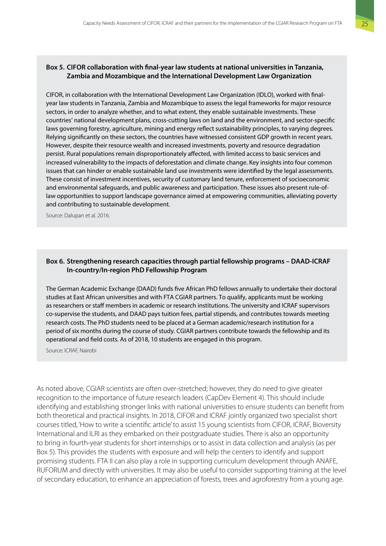#### <span id="page-36-0"></span>**Box 5. CIFOR collaboration with final-year law students at national universities in Tanzania, Zambia and Mozambique and the International Development Law Organization**

CIFOR, in collaboration with the International Development Law Organization (IDLO), worked with finalyear law students in Tanzania, Zambia and Mozambique to assess the legal frameworks for major resource sectors, in order to analyze whether, and to what extent, they enable sustainable investments. These countries' national development plans, cross-cutting laws on land and the environment, and sector-specific laws governing forestry, agriculture, mining and energy reflect sustainability principles, to varying degrees. Relying significantly on these sectors, the countries have witnessed consistent GDP growth in recent years. However, despite their resource wealth and increased investments, poverty and resource degradation persist. Rural populations remain disproportionately affected, with limited access to basic services and increased vulnerability to the impacts of deforestation and climate change. Key insights into four common issues that can hinder or enable sustainable land use investments were identified by the legal assessments. These consist of investment incentives, security of customary land tenure, enforcement of socioeconomic and environmental safeguards, and public awareness and participation. These issues also present rule-oflaw opportunities to support landscape governance aimed at empowering communities, alleviating poverty and contributing to sustainable development.

Source: Dalupan et al. 2016.

#### **Box 6. Strengthening research capacities through partial fellowship programs – DAAD-ICRAF In-country/In-region PhD Fellowship Program**

The German Academic Exchange (DAAD) funds five African PhD fellows annually to undertake their doctoral studies at East African universities and with FTA CGIAR partners. To qualify, applicants must be working as researchers or staff members in academic or research institutions. The university and ICRAF supervisors co-supervise the students, and DAAD pays tuition fees, partial stipends, and contributes towards meeting research costs. The PhD students need to be placed at a German academic/research institution for a period of six months during the course of study. CGIAR partners contribute towards the fellowship and its operational and field costs. As of 2018, 10 students are engaged in this program.

Source: ICRAF, Nairobi

As noted above, CGIAR scientists are often over-stretched; however, they do need to give greater recognition to the importance of future research leaders (CapDev Element 4). This should include identifying and establishing stronger links with national universities to ensure students can benefit from both theoretical and practical insights. In 2018, CIFOR and ICRAF jointly organized two specialist short courses titled, 'How to write a scientific article' to assist 15 young scientists from CIFOR, ICRAF, Bioversity International and ILRI as they embarked on their postgraduate studies. There is also an opportunity to bring in fourth-year students for short internships or to assist in data collection and analysis (as per Box 5). This provides the students with exposure and will help the centers to identify and support promising students. FTA II can also play a role in supporting curriculum development through ANAFE, RUFORUM and directly with universities. It may also be useful to consider supporting training at the level of secondary education, to enhance an appreciation of forests, trees and agroforestry from a young age.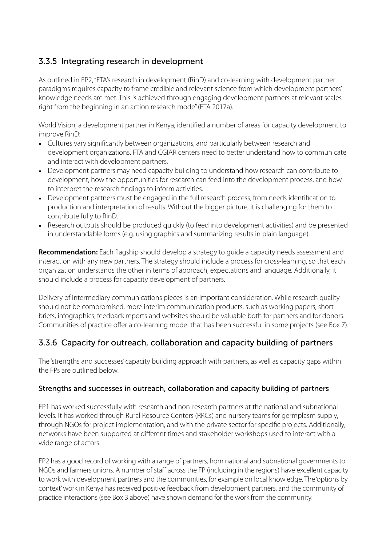## 3.3.5 Integrating research in development

As outlined in FP2, "FTA's research in development (RinD) and co-learning with development partner paradigms requires capacity to frame credible and relevant science from which development partners' knowledge needs are met. This is achieved through engaging development partners at relevant scales right from the beginning in an action research mode" (FTA 2017a).

World Vision, a development partner in Kenya, identified a number of areas for capacity development to improve RinD:

- Cultures vary significantly between organizations, and particularly between research and development organizations. FTA and CGIAR centers need to better understand how to communicate and interact with development partners.
- Development partners may need capacity building to understand how research can contribute to development, how the opportunities for research can feed into the development process, and how to interpret the research findings to inform activities.
- Development partners must be engaged in the full research process, from needs identification to production and interpretation of results. Without the bigger picture, it is challenging for them to contribute fully to RinD.
- Research outputs should be produced quickly (to feed into development activities) and be presented in understandable forms (e.g. using graphics and summarizing results in plain language).

**Recommendation:** Each flagship should develop a strategy to guide a capacity needs assessment and interaction with any new partners. The strategy should include a process for cross-learning, so that each organization understands the other in terms of approach, expectations and language. Additionally, it should include a process for capacity development of partners.

Delivery of intermediary communications pieces is an important consideration. While research quality should not be compromised, more interim communication products. such as working papers, short briefs, infographics, feedback reports and websites should be valuable both for partners and for donors. Communities of practice offer a co-learning model that has been successful in some projects (see Box 7).

## 3.3.6 Capacity for outreach, collaboration and capacity building of partners

The 'strengths and successes' capacity building approach with partners, as well as capacity gaps within the FPs are outlined below.

### Strengths and successes in outreach, collaboration and capacity building of partners

FP1 has worked successfully with research and non-research partners at the national and subnational levels. It has worked through Rural Resource Centers (RRCs) and nursery teams for germplasm supply, through NGOs for project implementation, and with the private sector for specific projects. Additionally, networks have been supported at different times and stakeholder workshops used to interact with a wide range of actors.

FP2 has a good record of working with a range of partners, from national and subnational governments to NGOs and farmers unions. A number of staff across the FP (including in the regions) have excellent capacity to work with development partners and the communities, for example on local knowledge. The 'options by context' work in Kenya has received positive feedback from development partners, and the community of practice interactions (see Box 3 above) have shown demand for the work from the community.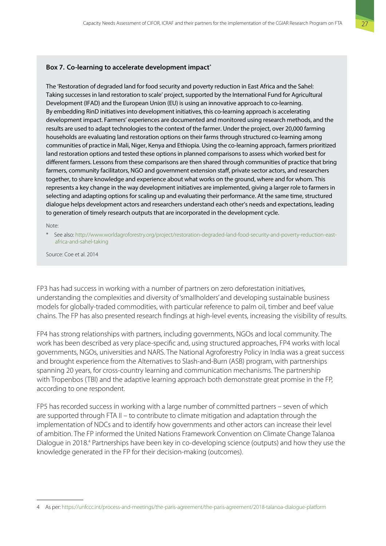#### <span id="page-38-0"></span>**Box 7. Co-learning to accelerate development impact\***

The 'Restoration of degraded land for food security and poverty reduction in East Africa and the Sahel: Taking successes in land restoration to scale' project, supported by the International Fund for Agricultural Development (IFAD) and the European Union (EU) is using an innovative approach to co-learning. By embedding RinD initiatives into development initiatives, this co-learning approach is accelerating development impact. Farmers' experiences are documented and monitored using research methods, and the results are used to adapt technologies to the context of the farmer. Under the project, over 20,000 farming households are evaluating land restoration options on their farms through structured co-learning among communities of practice in Mali, Niger, Kenya and Ethiopia. Using the co-learning approach, farmers prioritized land restoration options and tested these options in planned comparisons to assess which worked best for different farmers. Lessons from these comparisons are then shared through communities of practice that bring farmers, community facilitators, NGO and government extension staff, private sector actors, and researchers together, to share knowledge and experience about what works on the ground, where and for whom. This represents a key change in the way development initiatives are implemented, giving a larger role to farmers in selecting and adapting options for scaling up and evaluating their performance. At the same time, structured dialogue helps development actors and researchers understand each other's needs and expectations, leading to generation of timely research outputs that are incorporated in the development cycle.

Note:

\* See also: [http://www.worldagroforestry.org/project/restoration-degraded-land-food-security-and-poverty-reduction-east](http://www.worldagroforestry.org/project/restoration-degraded-land-food-security-and-poverty-reduction-east-africa-and-sahel-taking)[africa-and-sahel-taking](http://www.worldagroforestry.org/project/restoration-degraded-land-food-security-and-poverty-reduction-east-africa-and-sahel-taking)

Source: Coe et al. 2014

FP3 has had success in working with a number of partners on zero deforestation initiatives, understanding the complexities and diversity of 'smallholders' and developing sustainable business models for globally-traded commodities, with particular reference to palm oil, timber and beef value chains. The FP has also presented research findings at high-level events, increasing the visibility of results.

FP4 has strong relationships with partners, including governments, NGOs and local community. The work has been described as very place-specific and, using structured approaches, FP4 works with local governments, NGOs, universities and NARS. The National Agroforestry Policy in India was a great success and brought experience from the Alternatives to Slash-and-Burn (ASB) program, with partnerships spanning 20 years, for cross-country learning and communication mechanisms. The partnership with Tropenbos (TBI) and the adaptive learning approach both demonstrate great promise in the FP, according to one respondent.

FP5 has recorded success in working with a large number of committed partners – seven of which are supported through FTA II – to contribute to climate mitigation and adaptation through the implementation of NDCs and to identify how governments and other actors can increase their level of ambition. The FP informed the United Nations Framework Convention on Climate Change Talanoa Dialogue in 2018.<sup>4</sup> Partnerships have been key in co-developing science (outputs) and how they use the knowledge generated in the FP for their decision-making (outcomes).

<sup>4</sup> As per:<https://unfccc.int/process-and-meetings/the-paris-agreement/the-paris-agreement/2018-talanoa-dialogue-platform>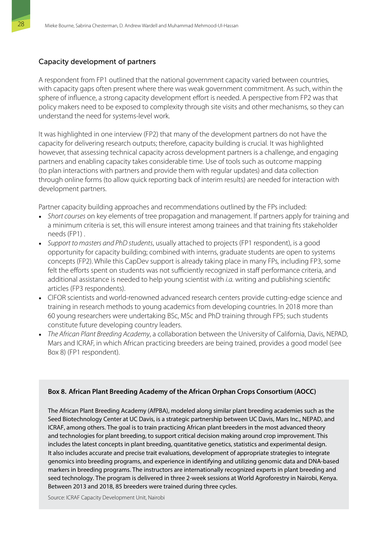#### <span id="page-39-0"></span>Capacity development of partners

A respondent from FP1 outlined that the national government capacity varied between countries, with capacity gaps often present where there was weak government commitment. As such, within the sphere of influence, a strong capacity development effort is needed. A perspective from FP2 was that policy makers need to be exposed to complexity through site visits and other mechanisms, so they can understand the need for systems-level work.

It was highlighted in one interview (FP2) that many of the development partners do not have the capacity for delivering research outputs; therefore, capacity building is crucial. It was highlighted however, that assessing technical capacity across development partners is a challenge, and engaging partners and enabling capacity takes considerable time. Use of tools such as outcome mapping (to plan interactions with partners and provide them with regular updates) and data collection through online forms (to allow quick reporting back of interim results) are needed for interaction with development partners.

Partner capacity building approaches and recommendations outlined by the FPs included:

- *Short courses* on key elements of tree propagation and management. If partners apply for training and a minimum criteria is set, this will ensure interest among trainees and that training fits stakeholder needs (FP1) .
- *Support to masters and PhD students*, usually attached to projects (FP1 respondent), is a good opportunity for capacity building; combined with interns, graduate students are open to systems concepts (FP2). While this CapDev support is already taking place in many FPs, including FP3, some felt the efforts spent on students was not sufficiently recognized in staff performance criteria, and additional assistance is needed to help young scientist with *i.a.* writing and publishing scientific articles (FP3 respondents).
- CIFOR scientists and world-renowned advanced research centers provide cutting-edge science and training in research methods to young academics from developing countries. In 2018 more than 60 young researchers were undertaking BSc, MSc and PhD training through FP5; such students constitute future developing country leaders.
- *The African Plant Breeding Academy*, a collaboration between the University of California, Davis, NEPAD, Mars and ICRAF, in which African practicing breeders are being trained, provides a good model (see Box 8) (FP1 respondent).

#### **Box 8. African Plant Breeding Academy of the African Orphan Crops Consortium (AOCC)**

The African Plant Breeding Academy (AfPBA), modeled along similar plant breeding academies such as the Seed Biotechnology Center at UC Davis, is a strategic partnership between UC Davis, Mars Inc., NEPAD, and ICRAF, among others. The goal is to train practicing African plant breeders in the most advanced theory and technologies for plant breeding, to support critical decision making around crop improvement. This includes the latest concepts in plant breeding, quantitative genetics, statistics and experimental design. It also includes accurate and precise trait evaluations, development of appropriate strategies to integrate genomics into breeding programs, and experience in identifying and utilizing genomic data and DNA-based markers in breeding programs. The instructors are internationally recognized experts in plant breeding and seed technology. The program is delivered in three 2-week sessions at World Agroforestry in Nairobi, Kenya. Between 2013 and 2018, 85 breeders were trained during three cycles.

Source: ICRAF Capacity Development Unit, Nairobi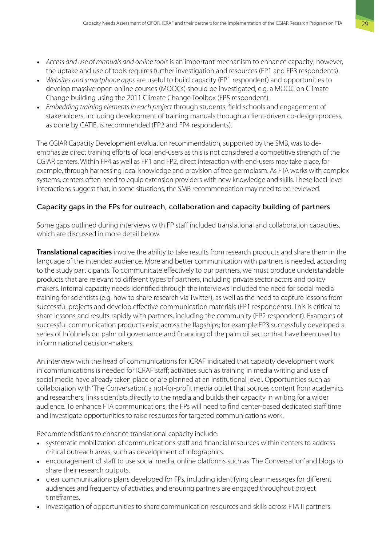- *Access and use of manuals and online tools* is an important mechanism to enhance capacity; however, the uptake and use of tools requires further investigation and resources (FP1 and FP3 respondents).
- *Websites and smartphone apps* are useful to build capacity (FP1 respondent) and opportunities to develop massive open online courses (MOOCs) should be investigated, e.g. a MOOC on Climate Change building using the 2011 Climate Change Toolbox (FP5 respondent).
- *Embedding training elements in each project* through students, field schools and engagement of stakeholders, including development of training manuals through a client-driven co-design process, as done by CATIE, is recommended (FP2 and FP4 respondents).

The CGIAR Capacity Development evaluation recommendation, supported by the SMB, was to deemphasize direct training efforts of local end-users as this is not considered a competitive strength of the CGIAR centers. Within FP4 as well as FP1 and FP2, direct interaction with end-users may take place, for example, through harnessing local knowledge and provision of tree germplasm. As FTA works with complex systems, centers often need to equip extension providers with new knowledge and skills. These local-level interactions suggest that, in some situations, the SMB recommendation may need to be reviewed.

#### Capacity gaps in the FPs for outreach, collaboration and capacity building of partners

Some gaps outlined during interviews with FP staff included translational and collaboration capacities, which are discussed in more detail below.

**Translational capacities** involve the ability to take results from research products and share them in the language of the intended audience. More and better communication with partners is needed, according to the study participants. To communicate effectively to our partners, we must produce understandable products that are relevant to different types of partners, including private sector actors and policy makers. Internal capacity needs identified through the interviews included the need for social media training for scientists (e.g. how to share research via Twitter), as well as the need to capture lessons from successful projects and develop effective communication materials (FP1 respondents). This is critical to share lessons and results rapidly with partners, including the community (FP2 respondent). Examples of successful communication products exist across the flagships; for example FP3 successfully developed a series of Infobriefs on palm oil governance and financing of the palm oil sector that have been used to inform national decision-makers.

An interview with the head of communications for ICRAF indicated that capacity development work in communications is needed for ICRAF staff; activities such as training in media writing and use of social media have already taken place or are planned at an institutional level. Opportunities such as collaboration with 'The Conversation', a not-for-profit media outlet that sources content from academics and researchers, links scientists directly to the media and builds their capacity in writing for a wider audience. To enhance FTA communications, the FPs will need to find center-based dedicated staff time and investigate opportunities to raise resources for targeted communications work.

Recommendations to enhance translational capacity include:

- systematic mobilization of communications staff and financial resources within centers to address critical outreach areas, such as development of infographics.
- encouragement of staff to use social media, online platforms such as 'The Conversation' and blogs to share their research outputs.
- clear communications plans developed for FPs, including identifying clear messages for different audiences and frequency of activities, and ensuring partners are engaged throughout project timeframes.
- investigation of opportunities to share communication resources and skills across FTA II partners.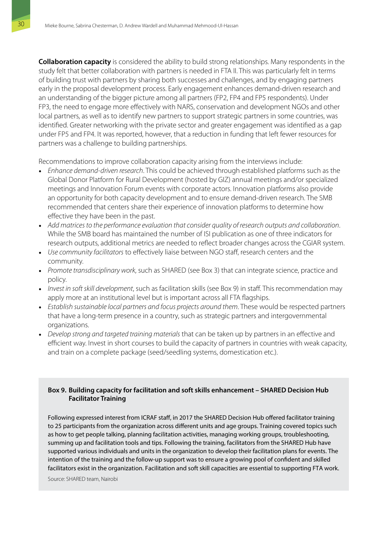<span id="page-41-0"></span>**Collaboration capacity** is considered the ability to build strong relationships. Many respondents in the study felt that better collaboration with partners is needed in FTA II. This was particularly felt in terms of building trust with partners by sharing both successes and challenges, and by engaging partners early in the proposal development process. Early engagement enhances demand-driven research and an understanding of the bigger picture among all partners (FP2, FP4 and FP5 respondents). Under FP3, the need to engage more effectively with NARS, conservation and development NGOs and other local partners, as well as to identify new partners to support strategic partners in some countries, was identified. Greater networking with the private sector and greater engagement was identified as a gap under FP5 and FP4. It was reported, however, that a reduction in funding that left fewer resources for partners was a challenge to building partnerships.

Recommendations to improve collaboration capacity arising from the interviews include:

- *Enhance demand-driven research*. This could be achieved through established platforms such as the Global Donor Platform for Rural Development (hosted by GIZ) annual meetings and/or specialized meetings and Innovation Forum events with corporate actors. Innovation platforms also provide an opportunity for both capacity development and to ensure demand-driven research. The SMB recommended that centers share their experience of innovation platforms to determine how effective they have been in the past.
- *Add matrices to the performance evaluation that consider quality of research outputs and collaboration*. While the SMB board has maintained the number of ISI publication as one of three indicators for research outputs, additional metrics are needed to reflect broader changes across the CGIAR system.
- *Use community facilitators* to effectively liaise between NGO staff, research centers and the community.
- *Promote transdisciplinary work*, such as SHARED (see Box 3) that can integrate science, practice and policy.
- *Invest in soft skill development*, such as facilitation skills (see Box 9) in staff. This recommendation may apply more at an institutional level but is important across all FTA flagships.
- *Establish sustainable local partners and focus projects around them*. These would be respected partners that have a long-term presence in a country, such as strategic partners and intergovernmental organizations.
- *Develop strong and targeted training materials* that can be taken up by partners in an effective and efficient way. Invest in short courses to build the capacity of partners in countries with weak capacity, and train on a complete package (seed/seedling systems, domestication etc.).

#### **Box 9. Building capacity for facilitation and soft skills enhancement – SHARED Decision Hub Facilitator Training**

Following expressed interest from ICRAF staff, in 2017 the SHARED Decision Hub offered facilitator training to 25 participants from the organization across different units and age groups. Training covered topics such as how to get people talking, planning facilitation activities, managing working groups, troubleshooting, summing up and facilitation tools and tips. Following the training, facilitators from the SHARED Hub have supported various individuals and units in the organization to develop their facilitation plans for events. The intention of the training and the follow-up support was to ensure a growing pool of confident and skilled facilitators exist in the organization. Facilitation and soft skill capacities are essential to supporting FTA work.

Source: SHARED team, Nairobi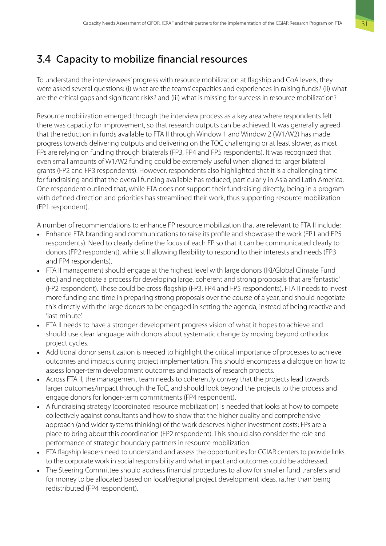## <span id="page-42-0"></span>3.4 Capacity to mobilize financial resources

To understand the interviewees' progress with resource mobilization at flagship and CoA levels, they were asked several questions: (i) what are the teams' capacities and experiences in raising funds? (ii) what are the critical gaps and significant risks? and (iii) what is missing for success in resource mobilization?

Resource mobilization emerged through the interview process as a key area where respondents felt there was capacity for improvement, so that research outputs can be achieved. It was generally agreed that the reduction in funds available to FTA II through Window 1 and Window 2 (W1/W2) has made progress towards delivering outputs and delivering on the TOC challenging or at least slower, as most FPs are relying on funding through bilaterals (FP3, FP4 and FP5 respondents). It was recognized that even small amounts of W1/W2 funding could be extremely useful when aligned to larger bilateral grants (FP2 and FP3 respondents). However, respondents also highlighted that it is a challenging time for fundraising and that the overall funding available has reduced, particularly in Asia and Latin America. One respondent outlined that, while FTA does not support their fundraising directly, being in a program with defined direction and priorities has streamlined their work, thus supporting resource mobilization (FP1 respondent).

A number of recommendations to enhance FP resource mobilization that are relevant to FTA II include:

- Enhance FTA branding and communications to raise its profile and showcase the work (FP1 and FP5 respondents). Need to clearly define the focus of each FP so that it can be communicated clearly to donors (FP2 respondent), while still allowing flexibility to respond to their interests and needs (FP3 and FP4 respondents).
- FTA II management should engage at the highest level with large donors (IKI/Global Climate Fund etc.) and negotiate a process for developing large, coherent and strong proposals that are 'fantastic' (FP2 respondent). These could be cross-flagship (FP3, FP4 and FP5 respondents). FTA II needs to invest more funding and time in preparing strong proposals over the course of a year, and should negotiate this directly with the large donors to be engaged in setting the agenda, instead of being reactive and 'last-minute'.
- FTA II needs to have a stronger development progress vision of what it hopes to achieve and should use clear language with donors about systematic change by moving beyond orthodox project cycles.
- Additional donor sensitization is needed to highlight the critical importance of processes to achieve outcomes and impacts during project implementation. This should encompass a dialogue on how to assess longer-term development outcomes and impacts of research projects.
- Across FTA II, the management team needs to coherently convey that the projects lead towards larger outcomes/impact through the ToC, and should look beyond the projects to the process and engage donors for longer-term commitments (FP4 respondent).
- A fundraising strategy (coordinated resource mobilization) is needed that looks at how to compete collectively against consultants and how to show that the higher quality and comprehensive approach (and wider systems thinking) of the work deserves higher investment costs; FPs are a place to bring about this coordination (FP2 respondent). This should also consider the role and performance of strategic boundary partners in resource mobilization.
- FTA flagship leaders need to understand and assess the opportunities for CGIAR centers to provide links to the corporate work in social responsibility and what impact and outcomes could be addressed.
- The Steering Committee should address financial procedures to allow for smaller fund transfers and for money to be allocated based on local/regional project development ideas, rather than being redistributed (FP4 respondent).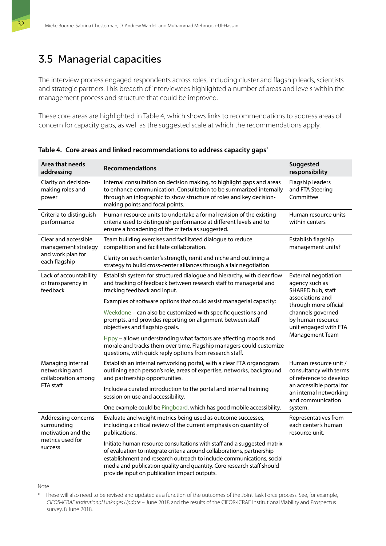## <span id="page-43-0"></span>3.5 Managerial capacities

The interview process engaged respondents across roles, including cluster and flagship leads, scientists and strategic partners. This breadth of interviewees highlighted a number of areas and levels within the management process and structure that could be improved.

These core areas are highlighted in Table 4, which shows links to recommendations to address areas of concern for capacity gaps, as well as the suggested scale at which the recommendations apply.

| Area that needs<br>addressing                              | <b>Recommendations</b>                                                                                                                                                                                                                                                                                                                               | Suggested<br>responsibility                                                        |  |  |
|------------------------------------------------------------|------------------------------------------------------------------------------------------------------------------------------------------------------------------------------------------------------------------------------------------------------------------------------------------------------------------------------------------------------|------------------------------------------------------------------------------------|--|--|
| Clarity on decision-<br>making roles and<br>power          | Internal consultation on decision making, to highlight gaps and areas<br>to enhance communication. Consultation to be summarized internally<br>through an infographic to show structure of roles and key decision-<br>making points and focal points.                                                                                                | Flagship leaders<br>and FTA Steering<br>Committee                                  |  |  |
| Criteria to distinguish<br>performance                     | Human resource units to undertake a formal revision of the existing<br>criteria used to distinguish performance at different levels and to<br>ensure a broadening of the criteria as suggested.                                                                                                                                                      | Human resource units<br>within centers                                             |  |  |
| Clear and accessible<br>management strategy                | Team building exercises and facilitated dialogue to reduce<br>competition and facilitate collaboration.                                                                                                                                                                                                                                              | Establish flagship<br>management units?                                            |  |  |
| and work plan for<br>each flagship                         | Clarity on each center's strength, remit and niche and outlining a<br>strategy to build cross-center alliances through a fair negotiation                                                                                                                                                                                                            |                                                                                    |  |  |
| Lack of accountability<br>or transparency in<br>feedback   | Establish system for structured dialogue and hierarchy, with clear flow<br>and tracking of feedback between research staff to managerial and<br>tracking feedback and input.                                                                                                                                                                         | External negotiation<br>agency such as<br>SHARED hub, staff                        |  |  |
|                                                            | Examples of software options that could assist managerial capacity:                                                                                                                                                                                                                                                                                  | associations and<br>through more official                                          |  |  |
|                                                            | Weekdone - can also be customized with specific questions and<br>prompts, and provides reporting on alignment between staff<br>objectives and flagship goals.                                                                                                                                                                                        | channels governed<br>by human resource<br>unit engaged with FTA<br>Management Team |  |  |
|                                                            | Hppy - allows understanding what factors are affecting moods and<br>morale and tracks them over time. Flagship managers could customize<br>questions, with quick reply options from research staff.                                                                                                                                                  |                                                                                    |  |  |
| Managing internal<br>networking and<br>collaboration among | Establish an internal networking portal, with a clear FTA organogram<br>outlining each person's role, areas of expertise, networks, background<br>and partnership opportunities.                                                                                                                                                                     | Human resource unit /<br>consultancy with terms<br>of reference to develop         |  |  |
| FTA staff                                                  | Include a curated introduction to the portal and internal training<br>session on use and accessibility.                                                                                                                                                                                                                                              | an accessible portal for<br>an internal networking<br>and communication            |  |  |
|                                                            | One example could be Pingboard, which has good mobile accessibility.                                                                                                                                                                                                                                                                                 | system.                                                                            |  |  |
| Addressing concerns<br>surrounding<br>motivation and the   | Evaluate and weight metrics being used as outcome successes,<br>including a critical review of the current emphasis on quantity of<br>publications.                                                                                                                                                                                                  | Representatives from<br>each center's human<br>resource unit.                      |  |  |
| metrics used for<br>success                                | Initiate human resource consultations with staff and a suggested matrix<br>of evaluation to integrate criteria around collaborations, partnership<br>establishment and research outreach to include communications, social<br>media and publication quality and quantity. Core research staff should<br>provide input on publication impact outputs. |                                                                                    |  |  |

**Table 4. Core areas and linked recommendations to address capacity gaps\***

Note

These will also need to be revised and updated as a function of the outcomes of the Joint Task Force process. See, for example, *CIFOR-ICRAF Institutional Linkages Update* – June 2018 and the results of the CIFOR-ICRAF Institutional Viability and Prospectus survey, 8 June 2018.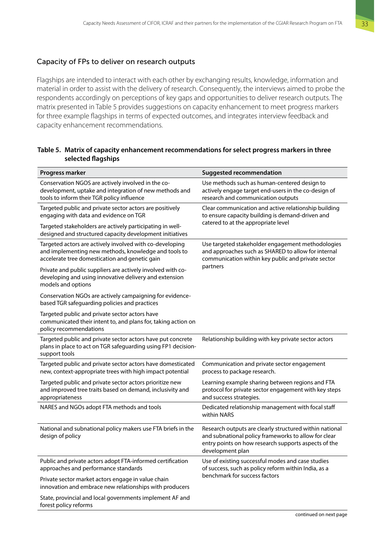#### <span id="page-44-0"></span>Capacity of FPs to deliver on research outputs

Flagships are intended to interact with each other by exchanging results, knowledge, information and material in order to assist with the delivery of research. Consequently, the interviews aimed to probe the respondents accordingly on perceptions of key gaps and opportunities to deliver research outputs. The matrix presented in Table 5 provides suggestions on capacity enhancement to meet progress markers for three example flagships in terms of expected outcomes, and integrates interview feedback and capacity enhancement recommendations.

#### **Table 5. Matrix of capacity enhancement recommendations for select progress markers in three selected flagships**

| Progress marker                                                                                                                                                    | <b>Suggested recommendation</b>                                                                                                                                                             |
|--------------------------------------------------------------------------------------------------------------------------------------------------------------------|---------------------------------------------------------------------------------------------------------------------------------------------------------------------------------------------|
| Conservation NGOS are actively involved in the co-<br>development, uptake and integration of new methods and<br>tools to inform their TGR policy influence         | Use methods such as human-centered design to<br>actively engage target end-users in the co-design of<br>research and communication outputs                                                  |
| Targeted public and private sector actors are positively<br>engaging with data and evidence on TGR                                                                 | Clear communication and active relationship building<br>to ensure capacity building is demand-driven and                                                                                    |
| Targeted stakeholders are actively participating in well-<br>designed and structured capacity development initiatives                                              | catered to at the appropriate level                                                                                                                                                         |
| Targeted actors are actively involved with co-developing<br>and implementing new methods, knowledge and tools to<br>accelerate tree domestication and genetic gain | Use targeted stakeholder engagement methodologies<br>and approaches such as SHARED to allow for internal<br>communication within key public and private sector                              |
| Private and public suppliers are actively involved with co-<br>developing and using innovative delivery and extension<br>models and options                        | partners                                                                                                                                                                                    |
| Conservation NGOs are actively campaigning for evidence-<br>based TGR safeguarding policies and practices                                                          |                                                                                                                                                                                             |
| Targeted public and private sector actors have<br>communicated their intent to, and plans for, taking action on<br>policy recommendations                          |                                                                                                                                                                                             |
| Targeted public and private sector actors have put concrete<br>plans in place to act on TGR safeguarding using FP1 decision-<br>support tools                      | Relationship building with key private sector actors                                                                                                                                        |
| Targeted public and private sector actors have domesticated<br>new, context-appropriate trees with high impact potential                                           | Communication and private sector engagement<br>process to package research.                                                                                                                 |
| Targeted public and private sector actors prioritize new<br>and improved tree traits based on demand, inclusivity and<br>appropriateness                           | Learning example sharing between regions and FTA<br>protocol for private sector engagement with key steps<br>and success strategies.                                                        |
| NARES and NGOs adopt FTA methods and tools                                                                                                                         | Dedicated relationship management with focal staff<br>within NARS                                                                                                                           |
| National and subnational policy makers use FTA briefs in the<br>design of policy                                                                                   | Research outputs are clearly structured within national<br>and subnational policy frameworks to allow for clear<br>entry points on how research supports aspects of the<br>development plan |
| Public and private actors adopt FTA-informed certification<br>approaches and performance standards                                                                 | Use of existing successful modes and case studies<br>of success, such as policy reform within India, as a                                                                                   |
| Private sector market actors engage in value chain<br>innovation and embrace new relationships with producers                                                      | benchmark for success factors                                                                                                                                                               |
| State, provincial and local governments implement AF and<br>forest policy reforms                                                                                  |                                                                                                                                                                                             |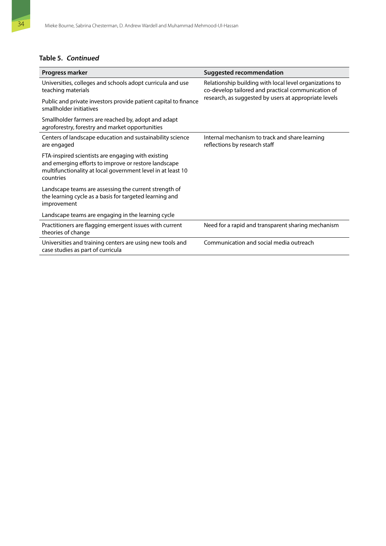### **Table 5. Continued**

| Progress marker                                                                                                                                                                        | <b>Suggested recommendation</b>                                                                                                                                        |
|----------------------------------------------------------------------------------------------------------------------------------------------------------------------------------------|------------------------------------------------------------------------------------------------------------------------------------------------------------------------|
| Universities, colleges and schools adopt curricula and use<br>teaching materials                                                                                                       | Relationship building with local level organizations to<br>co-develop tailored and practical communication of<br>research, as suggested by users at appropriate levels |
| Public and private investors provide patient capital to finance<br>smallholder initiatives                                                                                             |                                                                                                                                                                        |
| Smallholder farmers are reached by, adopt and adapt<br>agroforestry, forestry and market opportunities                                                                                 |                                                                                                                                                                        |
| Centers of landscape education and sustainability science<br>are engaged                                                                                                               | Internal mechanism to track and share learning<br>reflections by research staff                                                                                        |
| FTA-inspired scientists are engaging with existing<br>and emerging efforts to improve or restore landscape<br>multifunctionality at local government level in at least 10<br>countries |                                                                                                                                                                        |
| Landscape teams are assessing the current strength of<br>the learning cycle as a basis for targeted learning and<br>improvement                                                        |                                                                                                                                                                        |
| Landscape teams are engaging in the learning cycle                                                                                                                                     |                                                                                                                                                                        |
| Practitioners are flagging emergent issues with current<br>theories of change                                                                                                          | Need for a rapid and transparent sharing mechanism                                                                                                                     |
| Universities and training centers are using new tools and<br>case studies as part of curricula                                                                                         | Communication and social media outreach                                                                                                                                |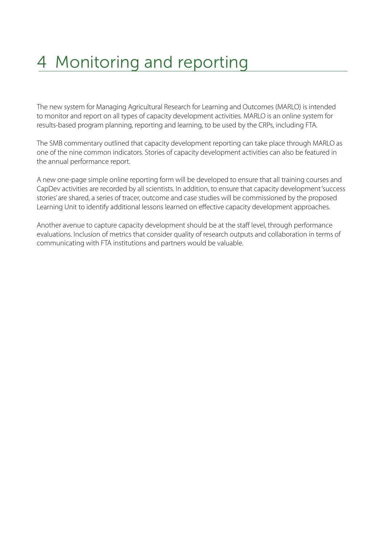# <span id="page-46-0"></span>4 Monitoring and reporting

The new system for Managing Agricultural Research for Learning and Outcomes (MARLO) is intended to monitor and report on all types of capacity development activities. MARLO is an online system for results-based program planning, reporting and learning, to be used by the CRPs, including FTA.

The SMB commentary outlined that capacity development reporting can take place through MARLO as one of the nine common indicators. Stories of capacity development activities can also be featured in the annual performance report.

A new one-page simple online reporting form will be developed to ensure that all training courses and CapDev activities are recorded by all scientists. In addition, to ensure that capacity development 'success stories' are shared, a series of tracer, outcome and case studies will be commissioned by the proposed Learning Unit to identify additional lessons learned on effective capacity development approaches.

Another avenue to capture capacity development should be at the staff level, through performance evaluations. Inclusion of metrics that consider quality of research outputs and collaboration in terms of communicating with FTA institutions and partners would be valuable.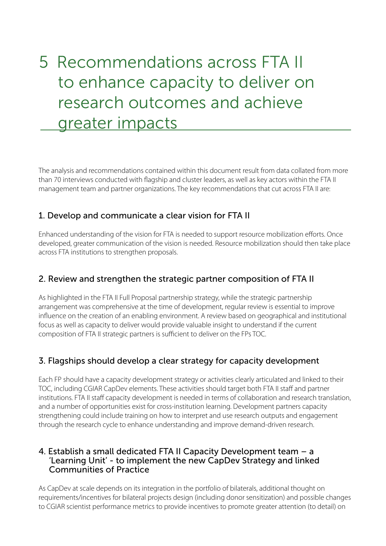# <span id="page-47-0"></span>5 Recommendations across FTA II to enhance capacity to deliver on research outcomes and achieve greater impacts

The analysis and recommendations contained within this document result from data collated from more than 70 interviews conducted with flagship and cluster leaders, as well as key actors within the FTA II management team and partner organizations. The key recommendations that cut across FTA II are:

## 1. Develop and communicate a clear vision for FTA II

Enhanced understanding of the vision for FTA is needed to support resource mobilization efforts. Once developed, greater communication of the vision is needed. Resource mobilization should then take place across FTA institutions to strengthen proposals.

## 2. Review and strengthen the strategic partner composition of FTA II

As highlighted in the FTA II Full Proposal partnership strategy, while the strategic partnership arrangement was comprehensive at the time of development, regular review is essential to improve influence on the creation of an enabling environment. A review based on geographical and institutional focus as well as capacity to deliver would provide valuable insight to understand if the current composition of FTA II strategic partners is sufficient to deliver on the FPs TOC.

## 3. Flagships should develop a clear strategy for capacity development

Each FP should have a capacity development strategy or activities clearly articulated and linked to their TOC, including CGIAR CapDev elements. These activities should target both FTA II staff and partner institutions. FTA II staff capacity development is needed in terms of collaboration and research translation, and a number of opportunities exist for cross-institution learning. Development partners capacity strengthening could include training on how to interpret and use research outputs and engagement through the research cycle to enhance understanding and improve demand-driven research.

### 4. Establish a small dedicated FTA II Capacity Development team – a 'Learning Unit' - to implement the new CapDev Strategy and linked Communities of Practice

As CapDev at scale depends on its integration in the portfolio of bilaterals, additional thought on requirements/incentives for bilateral projects design (including donor sensitization) and possible changes to CGIAR scientist performance metrics to provide incentives to promote greater attention (to detail) on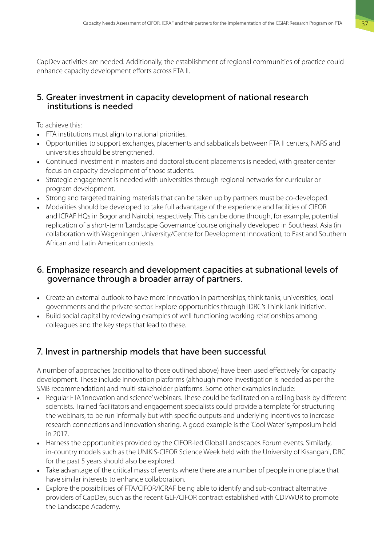CapDev activities are needed. Additionally, the establishment of regional communities of practice could enhance capacity development efforts across FTA II.

### 5. Greater investment in capacity development of national research institutions is needed

To achieve this:

- FTA institutions must align to national priorities.
- Opportunities to support exchanges, placements and sabbaticals between FTA II centers, NARS and universities should be strengthened.
- Continued investment in masters and doctoral student placements is needed, with greater center focus on capacity development of those students.
- Strategic engagement is needed with universities through regional networks for curricular or program development.
- Strong and targeted training materials that can be taken up by partners must be co-developed.
- Modalities should be developed to take full advantage of the experience and facilities of CIFOR and ICRAF HQs in Bogor and Nairobi, respectively. This can be done through, for example, potential replication of a short-term 'Landscape Governance' course originally developed in Southeast Asia (in collaboration with Wageningen University/Centre for Development Innovation), to East and Southern African and Latin American contexts.

### 6. Emphasize research and development capacities at subnational levels of governance through a broader array of partners.

- Create an external outlook to have more innovation in partnerships, think tanks, universities, local governments and the private sector. Explore opportunities through IDRC's Think Tank Initiative.
- Build social capital by reviewing examples of well-functioning working relationships among colleagues and the key steps that lead to these.

## 7. Invest in partnership models that have been successful

A number of approaches (additional to those outlined above) have been used effectively for capacity development. These include innovation platforms (although more investigation is needed as per the SMB recommendation) and multi-stakeholder platforms. Some other examples include:

- Regular FTA 'innovation and science' webinars. These could be facilitated on a rolling basis by different scientists. Trained facilitators and engagement specialists could provide a template for structuring the webinars, to be run informally but with specific outputs and underlying incentives to increase research connections and innovation sharing. A good example is the 'Cool Water' symposium held in 2017.
- Harness the opportunities provided by the CIFOR-led Global Landscapes Forum events. Similarly, in-country models such as the UNIKIS-CIFOR Science Week held with the University of Kisangani, DRC for the past 5 years should also be explored.
- Take advantage of the critical mass of events where there are a number of people in one place that have similar interests to enhance collaboration.
- Explore the possibilities of FTA/CIFOR/ICRAF being able to identify and sub-contract alternative providers of CapDev, such as the recent GLF/CIFOR contract established with CDI/WUR to promote the Landscape Academy.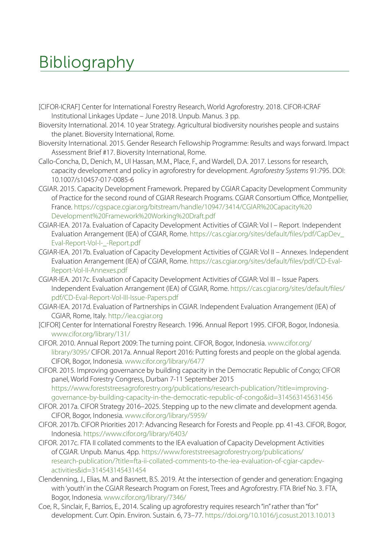# <span id="page-49-0"></span>Bibliography

- [CIFOR-ICRAF] Center for International Forestry Research, World Agroforestry. 2018. CIFOR-ICRAF Institutional Linkages Update – June 2018. Unpub. Manus. 3 pp.
- Bioversity International. 2014. 10 year Strategy. Agricultural biodiversity nourishes people and sustains the planet. Bioversity International, Rome.
- Bioversity International. 2015. Gender Research Fellowship Programme: Results and ways forward. Impact Assessment Brief #17. Bioversity International, Rome.
- Callo-Concha, D., Denich, M., Ul Hassan, M.M., Place, F., and Wardell, D.A. 2017. Lessons for research, capacity development and policy in agroforestry for development. *Agroforestry Systems* 91:795. DOI: 10.1007/s10457-017-0085-6
- CGIAR. 2015. Capacity Development Framework. Prepared by CGIAR Capacity Development Community of Practice for the second round of CGIAR Research Programs. CGIAR Consortium Office, Montpellier, France. [https://cgspace.cgiar.org/bitstream/handle/10947/3414/CGIAR%20Capacity%20](https://cgspace.cgiar.org/bitstream/handle/10947/3414/CGIAR Capacity Development Framework Working Draft.pdf) [Development%20Framework%20Working%20Draft.pdf](https://cgspace.cgiar.org/bitstream/handle/10947/3414/CGIAR Capacity Development Framework Working Draft.pdf)
- CGIAR-IEA. 2017a. Evaluation of Capacity Development Activities of CGIAR: Vol I Report. Independent Evaluation Arrangement (IEA) of CGIAR, Rome. [https://cas.cgiar.org/sites/default/files/pdf/CapDev\\_](https://cas.cgiar.org/sites/default/files/pdf/CapDev_Eval-Report-Vol-I-_-Report.pdf) Eval-Report-Vol-I- -Report.pdf
- CGIAR-IEA. 2017b. Evaluation of Capacity Development Activities of CGIAR: Vol II Annexes. Independent Evaluation Arrangement (IEA) of CGIAR, Rome. [https://cas.cgiar.org/sites/default/files/pdf/CD-Eval-](https://cas.cgiar.org/sites/default/files/pdf/CD-Eval-Report-Vol-II-Annexes.pdf)[Report-Vol-II-Annexes.pdf](https://cas.cgiar.org/sites/default/files/pdf/CD-Eval-Report-Vol-II-Annexes.pdf)
- CGIAR-IEA. 2017c. Evaluation of Capacity Development Activities of CGIAR: Vol III Issue Papers. Independent Evaluation Arrangement (IEA) of CGIAR, Rome. [https://cas.cgiar.org/sites/default/files/](https://cas.cgiar.org/sites/default/files/pdf/CD-Eval-Report-Vol-III-Issue-Papers.pdf) [pdf/CD-Eval-Report-Vol-III-Issue-Papers.pdf](https://cas.cgiar.org/sites/default/files/pdf/CD-Eval-Report-Vol-III-Issue-Papers.pdf)
- CGIAR-IEA. 2017d. Evaluation of Partnerships in CGIAR. Independent Evaluation Arrangement (IEA) of CGIAR, Rome, Italy. <http://iea.cgiar.org>
- [CIFOR] Center for International Forestry Research. 1996. Annual Report 1995. CIFOR, Bogor, Indonesia. [www.cifor.org/library/131/](https://www.cifor.org/library/131/)
- CIFOR. 2010. Annual Report 2009: The turning point. CIFOR, Bogor, Indonesia. [www.cifor.org/](https://www.cifor.org/library/3095/) [library/3095/](https://www.cifor.org/library/3095/) CIFOR. 2017a. Annual Report 2016: Putting forests and people on the global agenda. CIFOR, Bogor, Indonesia. [www.cifor.org/library/6477](https://www.cifor.org/library/6477)
- CIFOR. 2015. Improving governance by building capacity in the Democratic Republic of Congo; CIFOR panel, World Forestry Congress, Durban 7-11 September 2015 [https://www.foreststreesagroforestry.org/publications/research-publication/?title=improving](https://www.foreststreesagroforestry.org/publications/research-publication/?title=improving-governance-by-building-capacity-in-the-democratic-republic-of-congo&id=314563145631456)[governance-by-building-capacity-in-the-democratic-republic-of-congo&id=314563145631456](https://www.foreststreesagroforestry.org/publications/research-publication/?title=improving-governance-by-building-capacity-in-the-democratic-republic-of-congo&id=314563145631456)
- CIFOR. 2017a. CIFOR Strategy 2016–2025. Stepping up to the new climate and development agenda. CIFOR, Bogor, Indonesia. [www.cifor.org/library/5959/](https://www.cifor.org/library/5959/)
- CIFOR. 2017b. CIFOR Priorities 2017: Advancing Research for Forests and People. pp. 41-43. CIFOR, Bogor, Indonesia. <https://www.cifor.org/library/6403/>
- CIFOR. 2017c. FTA II collated comments to the IEA evaluation of Capacity Development Activities of CGIAR. Unpub. Manus. 4pp. [https://www.foreststreesagroforestry.org/publications/](https://www.foreststreesagroforestry.org/publications/research-publication/?title=fta-ii-collated-comments-to-the-iea-evaluation-of-cgiar-capdev-activities&id=314543145431454) [research-publication/?title=fta-ii-collated-comments-to-the-iea-evaluation-of-cgiar-capdev](https://www.foreststreesagroforestry.org/publications/research-publication/?title=fta-ii-collated-comments-to-the-iea-evaluation-of-cgiar-capdev-activities&id=314543145431454)[activities&id=314543145431454](https://www.foreststreesagroforestry.org/publications/research-publication/?title=fta-ii-collated-comments-to-the-iea-evaluation-of-cgiar-capdev-activities&id=314543145431454)
- Clendenning, J., Elias, M. and Basnett, B.S. 2019. At the intersection of gender and generation: Engaging with 'youth' in the CGIAR Research Program on Forest, Trees and Agroforestry. FTA Brief No. 3. FTA, Bogor, Indonesia. [www.cifor.org/library/7346/](https://www.cifor.org/library/7346/)
- Coe, R., Sinclair, F., Barrios, E., 2014. Scaling up agroforestry requires research "in" rather than "for" development. Curr. Opin. Environ. Sustain. 6, 73–77.<https://doi.org/10.1016/j.cosust.2013.10.013>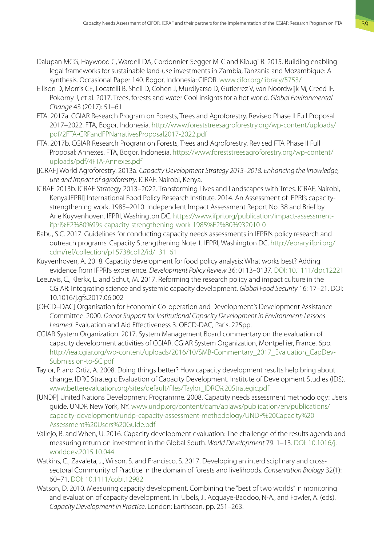- Dalupan MCG, Haywood C, Wardell DA, Cordonnier-Segger M-C and Kibugi R. 2015. Building enabling legal frameworks for sustainable land-use investments in Zambia, Tanzania and Mozambique: A synthesis. Occasional Paper 140. Bogor, Indonesia: CIFOR. [www.cifor.org/library/5753/](http://www.cifor.org/library/5753/)
- Ellison D, Morris CE, Locatelli B, Sheil D, Cohen J, Murdiyarso D, Gutierrez V, van Noordwijk M, Creed IF, Pokorny J, et al. 2017. Trees, forests and water Cool insights for a hot world. *Global Environmental Change* 43 (2017): 51–61
- FTA. 2017a. CGIAR Research Program on Forests, Trees and Agroforestry. Revised Phase II Full Proposal 2017–2022. FTA, Bogor, Indonesia. [http://www.foreststreesagroforestry.org/wp-content/uploads/](http://www.foreststreesagroforestry.org/wp-content/uploads/pdf/2FTA-CRPandFPNarrativesProposal2017-2022.pdf) [pdf/2FTA-CRPandFPNarrativesProposal2017-2022.pdf](http://www.foreststreesagroforestry.org/wp-content/uploads/pdf/2FTA-CRPandFPNarrativesProposal2017-2022.pdf)
- FTA. 2017b. CGIAR Research Program on Forests, Trees and Agroforestry. Revised FTA Phase II Full Proposal: Annexes. FTA, Bogor, Indonesia. [https://www.foreststreesagroforestry.org/wp-content/](https://www.foreststreesagroforestry.org/wp-content/uploads/pdf/4FTA-Annexes.pdf) [uploads/pdf/4FTA-Annexes.pdf](https://www.foreststreesagroforestry.org/wp-content/uploads/pdf/4FTA-Annexes.pdf)
- [ICRAF] World Agroforestry. 2013a. *Capacity Development Strategy 2013–2018. Enhancing the knowledge, use and impact of agroforestry*. ICRAF, Nairobi, Kenya.
- ICRAF. 2013b. ICRAF Strategy 2013–2022. Transforming Lives and Landscapes with Trees. ICRAF, Nairobi, Kenya.IFPRI] International Food Policy Research Institute. 2014. An Assessment of IFPRI's capacitystrengthening work, 1985–2010. Independent Impact Assessment Report No. 38 and Brief by Arie Kuyvenhoven. IFPRI, Washington DC. [https://www.ifpri.org/publication/impact-assessment](https://www.ifpri.org/publication/impact-assessment-ifpri%E2%80%99s-capacity-strengthening-work-1985%E2%80%932010-0)[ifpri%E2%80%99s-capacity-strengthening-work-1985%E2%80%932010-0](https://www.ifpri.org/publication/impact-assessment-ifpri%E2%80%99s-capacity-strengthening-work-1985%E2%80%932010-0)
- Babu, S.C. 2017. Guidelines for conducting capacity needs assessments in IFPRI's policy research and outreach programs. Capacity Strengthening Note 1. IFPRI, Washington DC. [http://ebrary.ifpri.org/](http://ebrary.ifpri.org/cdm/ref/collection/p15738coll2/id/131161) [cdm/ref/collection/p15738coll2/id/131161](http://ebrary.ifpri.org/cdm/ref/collection/p15738coll2/id/131161)
- Kuyvenhoven, A. 2018. Capacity development for food policy analysis: What works best? Adding evidence from IFPRI's experience. *Development Policy Review* 36: 0113–0137. [DOI: 10.1111/dpr.12221](https://doi.org/10.1111/dpr.12221)
- Leeuwis, C., Klerkx, L. and Schut, M. 2017. Reforming the research policy and impact culture in the CGIAR: Integrating science and systemic capacity development. *Global Food Security* 16: 17–21. DOI: 10.1016/j.gfs.2017.06.002
- [OECD–DAC] Organisation for Economic Co-operation and Development's Development Assistance Committee. 2000. *Donor Support for Institutional Capacity Development in Environment: Lessons Learned*. Evaluation and Aid Effectiveness 3. OECD-DAC, Paris. 225pp.
- CGIAR System Organization. 2017. System Management Board commentary on the evaluation of capacity development activities of CGIAR. CGIAR System Organization, Montpellier, France. 6pp. [http://iea.cgiar.org/wp-content/uploads/2016/10/SMB-Commentary\\_2017\\_Evaluation\\_CapDev-](http://iea.cgiar.org/wp-content/uploads/2016/10/SMB-Commentary_2017_Evaluation_CapDev-Submission-to-SC.pdf)[Submission-to-SC.pdf](http://iea.cgiar.org/wp-content/uploads/2016/10/SMB-Commentary_2017_Evaluation_CapDev-Submission-to-SC.pdf)
- Taylor, P. and Ortiz, A. 2008. Doing things better? How capacity development results help bring about change. IDRC Strategic Evaluation of Capacity Development. Institute of Development Studies (IDS). [www.betterevaluation.org/sites/default/files/Taylor\\_IDRC%20Strategic.pdf](https://www.betterevaluation.org/sites/default/files/Taylor_IDRC Strategic.pdf)
- [UNDP] United Nations Development Programme. 2008. Capacity needs assessment methodology: Users guide. UNDP, New York, NY. [www.undp.org/content/dam/aplaws/publication/en/publications/](https://www.undp.org/content/dam/aplaws/publication/en/publications/capacity-development/undp-capacity-assessment-methodology/UNDP Capacity Assessment Users Guide.pdf) [capacity-development/undp-capacity-assessment-methodology/UNDP%20Capacity%20](https://www.undp.org/content/dam/aplaws/publication/en/publications/capacity-development/undp-capacity-assessment-methodology/UNDP Capacity Assessment Users Guide.pdf) [Assessment%20Users%20Guide.pdf](https://www.undp.org/content/dam/aplaws/publication/en/publications/capacity-development/undp-capacity-assessment-methodology/UNDP Capacity Assessment Users Guide.pdf)
- Vallejo, B. and When, U. 2016. Capacity development evaluation: The challenge of the results agenda and measuring return on investment in the Global South. *World Development* 79: 1–13. [DOI: 10.1016/j.](http://dx.doi.org/10.1016/j.worlddev.2015.10.044) [worlddev.2015.10.044](http://dx.doi.org/10.1016/j.worlddev.2015.10.044)
- Watkins, C., Zavaleta, J., Wilson, S. and Francisco, S. 2017. Developing an interdisciplinary and crosssectoral Community of Practice in the domain of forests and livelihoods. *Conservation Biology* 32(1): 60–71. [DOI: 10.1111/cobi.12982](https://conbio.onlinelibrary.wiley.com/doi/abs/10.1111/cobi.12982)
- Watson, D. 2010. Measuring capacity development. Combining the "best of two worlds" in monitoring and evaluation of capacity development. In: Ubels, J., Acquaye-Baddoo, N-A., and Fowler, A. (eds). *Capacity Development in Practice*. London: Earthscan. pp. 251–263.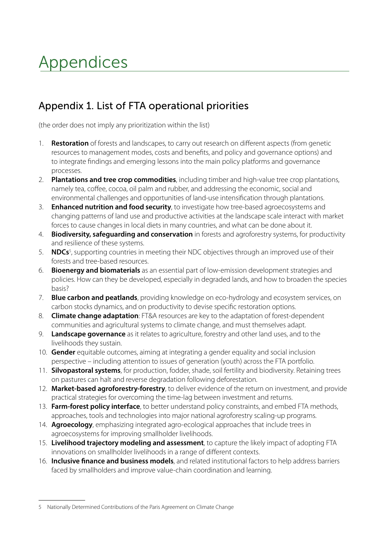# <span id="page-51-0"></span>Appendices

## Appendix 1. List of FTA operational priorities

(the order does not imply any prioritization within the list)

- 1. **Restoration** of forests and landscapes, to carry out research on different aspects (from genetic resources to management modes, costs and benefits, and policy and governance options) and to integrate findings and emerging lessons into the main policy platforms and governance processes.
- 2. **Plantations and tree crop commodities**, including timber and high-value tree crop plantations, namely tea, coffee, cocoa, oil palm and rubber, and addressing the economic, social and environmental challenges and opportunities of land-use intensification through plantations.
- 3. **Enhanced nutrition and food security**, to investigate how tree-based agroecosystems and changing patterns of land use and productive activities at the landscape scale interact with market forces to cause changes in local diets in many countries, and what can be done about it.
- 4. **Biodiversity, safeguarding and conservation** in forests and agroforestry systems, for productivity and resilience of these systems.
- 5. **NDCs**<sup>5</sup> , supporting countries in meeting their NDC objectives through an improved use of their forests and tree-based resources.
- 6. **Bioenergy and biomaterials** as an essential part of low-emission development strategies and policies. How can they be developed, especially in degraded lands, and how to broaden the species basis?
- 7. **Blue carbon and peatlands**, providing knowledge on eco-hydrology and ecosystem services, on carbon stocks dynamics, and on productivity to devise specific restoration options.
- 8. **Climate change adaptation**: FT&A resources are key to the adaptation of forest-dependent communities and agricultural systems to climate change, and must themselves adapt.
- 9. **Landscape governance** as it relates to agriculture, forestry and other land uses, and to the livelihoods they sustain.
- 10. **Gender** equitable outcomes, aiming at integrating a gender equality and social inclusion perspective – including attention to issues of generation (youth) across the FTA portfolio.
- 11. **Silvopastoral systems**, for production, fodder, shade, soil fertility and biodiversity. Retaining trees on pastures can halt and reverse degradation following deforestation.
- 12. **Market-based agroforestry-forestry**, to deliver evidence of the return on investment, and provide practical strategies for overcoming the time-lag between investment and returns.
- 13. **Farm-forest policy interface**, to better understand policy constraints, and embed FTA methods, approaches, tools and technologies into major national agroforestry scaling-up programs.
- 14. **Agroecology**, emphasizing integrated agro-ecological approaches that include trees in agroecosystems for improving smallholder livelihoods.
- 15. **Livelihood trajectory modeling and assessment**, to capture the likely impact of adopting FTA innovations on smallholder livelihoods in a range of different contexts.
- 16. **Inclusive finance and business models**, and related institutional factors to help address barriers faced by smallholders and improve value-chain coordination and learning.

<sup>5</sup> Nationally Determined Contributions of the Paris Agreement on Climate Change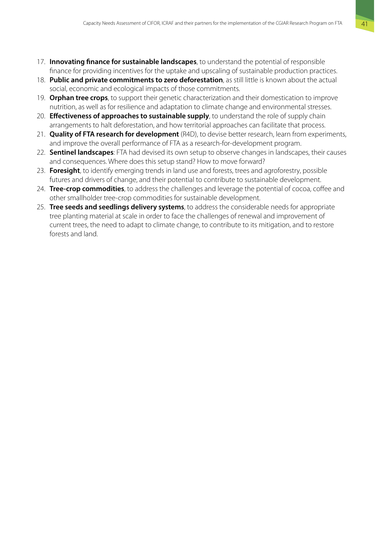- 17. **Innovating finance for sustainable landscapes**, to understand the potential of responsible finance for providing incentives for the uptake and upscaling of sustainable production practices.
- 18. **Public and private commitments to zero deforestation**, as still little is known about the actual social, economic and ecological impacts of those commitments.
- 19. **Orphan tree crops**, to support their genetic characterization and their domestication to improve nutrition, as well as for resilience and adaptation to climate change and environmental stresses.
- 20. **Effectiveness of approaches to sustainable supply**, to understand the role of supply chain arrangements to halt deforestation, and how territorial approaches can facilitate that process.
- 21. **Quality of FTA research for development** (R4D), to devise better research, learn from experiments, and improve the overall performance of FTA as a research-for-development program.
- 22. **Sentinel landscapes**: FTA had devised its own setup to observe changes in landscapes, their causes and consequences. Where does this setup stand? How to move forward?
- 23. **Foresight**, to identify emerging trends in land use and forests, trees and agroforestry, possible futures and drivers of change, and their potential to contribute to sustainable development.
- 24. **Tree-crop commodities**, to address the challenges and leverage the potential of cocoa, coffee and other smallholder tree-crop commodities for sustainable development.
- 25. **Tree seeds and seedlings delivery systems**, to address the considerable needs for appropriate tree planting material at scale in order to face the challenges of renewal and improvement of current trees, the need to adapt to climate change, to contribute to its mitigation, and to restore forests and land.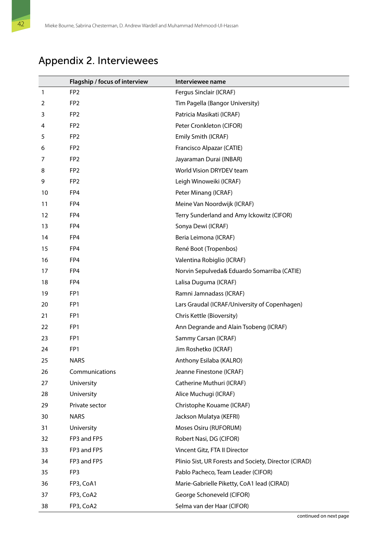## <span id="page-53-0"></span>Appendix 2. Interviewees

|    | Flagship / focus of interview | Interviewee name                                      |
|----|-------------------------------|-------------------------------------------------------|
| 1  | FP <sub>2</sub>               | Fergus Sinclair (ICRAF)                               |
| 2  | FP <sub>2</sub>               | Tim Pagella (Bangor University)                       |
| 3  | FP <sub>2</sub>               | Patricia Masikati (ICRAF)                             |
| 4  | FP <sub>2</sub>               | Peter Cronkleton (CIFOR)                              |
| 5  | FP <sub>2</sub>               | Emily Smith (ICRAF)                                   |
| 6  | FP <sub>2</sub>               | Francisco Alpazar (CATIE)                             |
| 7  | FP <sub>2</sub>               | Jayaraman Durai (INBAR)                               |
| 8  | FP <sub>2</sub>               | World Vision DRYDEV team                              |
| 9  | FP <sub>2</sub>               | Leigh Winoweiki (ICRAF)                               |
| 10 | FP4                           | Peter Minang (ICRAF)                                  |
| 11 | FP4                           | Meine Van Noordwijk (ICRAF)                           |
| 12 | FP4                           | Terry Sunderland and Amy Ickowitz (CIFOR)             |
| 13 | FP4                           | Sonya Dewi (ICRAF)                                    |
| 14 | FP4                           | Beria Leimona (ICRAF)                                 |
| 15 | FP4                           | René Boot (Tropenbos)                                 |
| 16 | FP4                           | Valentina Robiglio (ICRAF)                            |
| 17 | FP4                           | Norvin Sepulveda& Eduardo Somarriba (CATIE)           |
| 18 | FP4                           | Lalisa Duguma (ICRAF)                                 |
| 19 | FP1                           | Ramni Jamnadass (ICRAF)                               |
| 20 | FP1                           | Lars Graudal (ICRAF/University of Copenhagen)         |
| 21 | FP1                           | Chris Kettle (Bioversity)                             |
| 22 | FP1                           | Ann Degrande and Alain Tsobeng (ICRAF)                |
| 23 | FP1                           | Sammy Carsan (ICRAF)                                  |
| 24 | FP1                           | Jim Roshetko (ICRAF)                                  |
| 25 | <b>NARS</b>                   | Anthony Esilaba (KALRO)                               |
| 26 | Communications                | Jeanne Finestone (ICRAF)                              |
| 27 | University                    | Catherine Muthuri (ICRAF)                             |
| 28 | University                    | Alice Muchugi (ICRAF)                                 |
| 29 | Private sector                | Christophe Kouame (ICRAF)                             |
| 30 | <b>NARS</b>                   | Jackson Mulatya (KEFRI)                               |
| 31 | University                    | Moses Osiru (RUFORUM)                                 |
| 32 | FP3 and FP5                   | Robert Nasi, DG (CIFOR)                               |
| 33 | FP3 and FP5                   | Vincent Gitz, FTA II Director                         |
| 34 | FP3 and FP5                   | Plinio Sist, UR Forests and Society, Director (CIRAD) |
| 35 | FP3                           | Pablo Pacheco, Team Leader (CIFOR)                    |
| 36 | FP3, CoA1                     | Marie-Gabrielle Piketty, CoA1 lead (CIRAD)            |
| 37 | FP3, CoA2                     | George Schoneveld (CIFOR)                             |
| 38 | FP3, CoA2                     | Selma van der Haar (CIFOR)                            |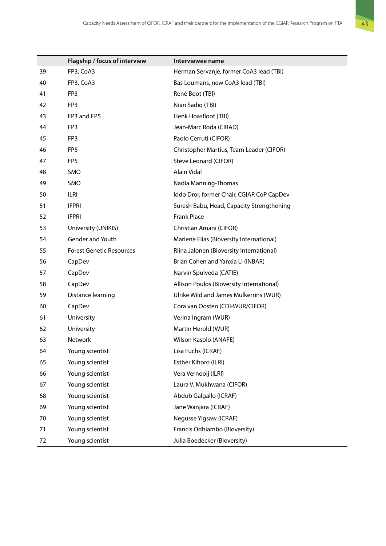|    | Flagship / focus of interview   | Interviewee name                          |
|----|---------------------------------|-------------------------------------------|
| 39 | FP3, CoA3                       | Herman Servanje, former CoA3 lead (TBI)   |
| 40 | FP3, CoA3                       | Bas Loumans, new CoA3 lead (TBI)          |
| 41 | FP3                             | René Boot (TBI)                           |
| 42 | FP3                             | Nian Sadiq (TBI)                          |
| 43 | FP3 and FP5                     | Henk Hoasfloot (TBI)                      |
| 44 | FP3                             | Jean-Marc Roda (CIRAD)                    |
| 45 | FP3                             | Paolo Cerruti (CIFOR)                     |
| 46 | FP <sub>5</sub>                 | Christopher Martius, Team Leader (CIFOR)  |
| 47 | FP5                             | Steve Leonard (CIFOR)                     |
| 48 | SMO                             | Alain Vidal                               |
| 49 | SMO                             | Nadia Manning-Thomas                      |
| 50 | ILRI                            | Iddo Dror, former Chair, CGIAR CoP CapDev |
| 51 | <b>IFPRI</b>                    | Suresh Babu, Head, Capacity Strengthening |
| 52 | <b>IFPRI</b>                    | <b>Frank Place</b>                        |
| 53 | University (UNIKIS)             | Christian Amani (CIFOR)                   |
| 54 | Gender and Youth                | Marlene Elias (Bioversity International)  |
| 55 | <b>Forest Genetic Resources</b> | Riina Jalonen (Bioversity International)  |
| 56 | CapDev                          | Brian Cohen and Yanxia Li (INBAR)         |
| 57 | CapDev                          | Narvin Spulveda (CATIE)                   |
| 58 | CapDev                          | Allison Poulos (Bioversity International) |
| 59 | Distance learning               | Ulrike Wild and James Mulkerrins (WUR)    |
| 60 | CapDev                          | Cora van Oosten (CDI-WUR/CIFOR)           |
| 61 | University                      | Verina Ingram (WUR)                       |
| 62 | University                      | Martin Herold (WUR)                       |
| 63 | Network                         | Wilson Kasolo (ANAFE)                     |
| 64 | Young scientist                 | Lisa Fuchs (ICRAF)                        |
| 65 | Young scientist                 | Esther Kihoro (ILRI)                      |
| 66 | Young scientist                 | Vera Vernooij (ILRI)                      |
| 67 | Young scientist                 | Laura V. Mukhwana (CIFOR)                 |
| 68 | Young scientist                 | Abdub Galgallo (ICRAF)                    |
| 69 | Young scientist                 | Jane Wanjara (ICRAF)                      |
| 70 | Young scientist                 | Negusse Yigsaw (ICRAF)                    |
| 71 | Young scientist                 | Francis Odhiambo (Bioversity)             |
| 72 | Young scientist                 | Julia Boedecker (Bioversity)              |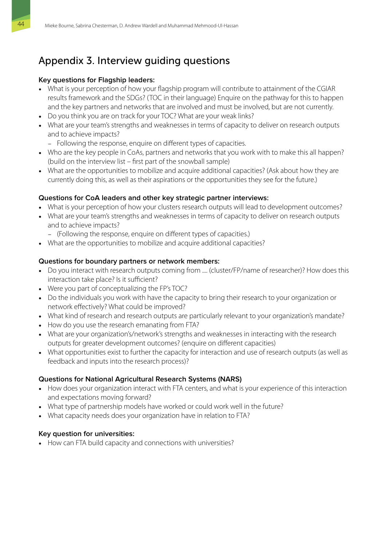## <span id="page-55-0"></span>Appendix 3. Interview guiding questions

#### **Key questions for Flagship leaders:**

- What is your perception of how your flagship program will contribute to attainment of the CGIAR results framework and the SDGs? (TOC in their language) Enquire on the pathway for this to happen and the key partners and networks that are involved and must be involved, but are not currently.
- Do you think you are on track for your TOC? What are your weak links?
- What are your team's strengths and weaknesses in terms of capacity to deliver on research outputs and to achieve impacts?
	- − Following the response, enquire on different types of capacities.
- Who are the key people in CoAs, partners and networks that you work with to make this all happen? (build on the interview list – first part of the snowball sample)
- What are the opportunities to mobilize and acquire additional capacities? (Ask about how they are currently doing this, as well as their aspirations or the opportunities they see for the future.)

#### **Questions for CoA leaders and other key strategic partner interviews:**

- What is your perception of how your clusters research outputs will lead to development outcomes?
- What are your team's strengths and weaknesses in terms of capacity to deliver on research outputs and to achieve impacts?
	- − (Following the response, enquire on different types of capacities.)
- What are the opportunities to mobilize and acquire additional capacities?

#### **Questions for boundary partners or network members:**

- Do you interact with research outputs coming from .... (cluster/FP/name of researcher)? How does this interaction take place? Is it sufficient?
- Were you part of conceptualizing the FP's TOC?
- Do the individuals you work with have the capacity to bring their research to your organization or network effectively? What could be improved?
- What kind of research and research outputs are particularly relevant to your organization's mandate?
- How do you use the research emanating from FTA?
- What are your organization's/network's strengths and weaknesses in interacting with the research outputs for greater development outcomes? (enquire on different capacities)
- What opportunities exist to further the capacity for interaction and use of research outputs (as well as feedback and inputs into the research process)?

### **Questions for National Agricultural Research Systems (NARS)**

- How does your organization interact with FTA centers, and what is your experience of this interaction and expectations moving forward?
- What type of partnership models have worked or could work well in the future?
- What capacity needs does your organization have in relation to FTA?

#### **Key question for universities:**

• How can FTA build capacity and connections with universities?